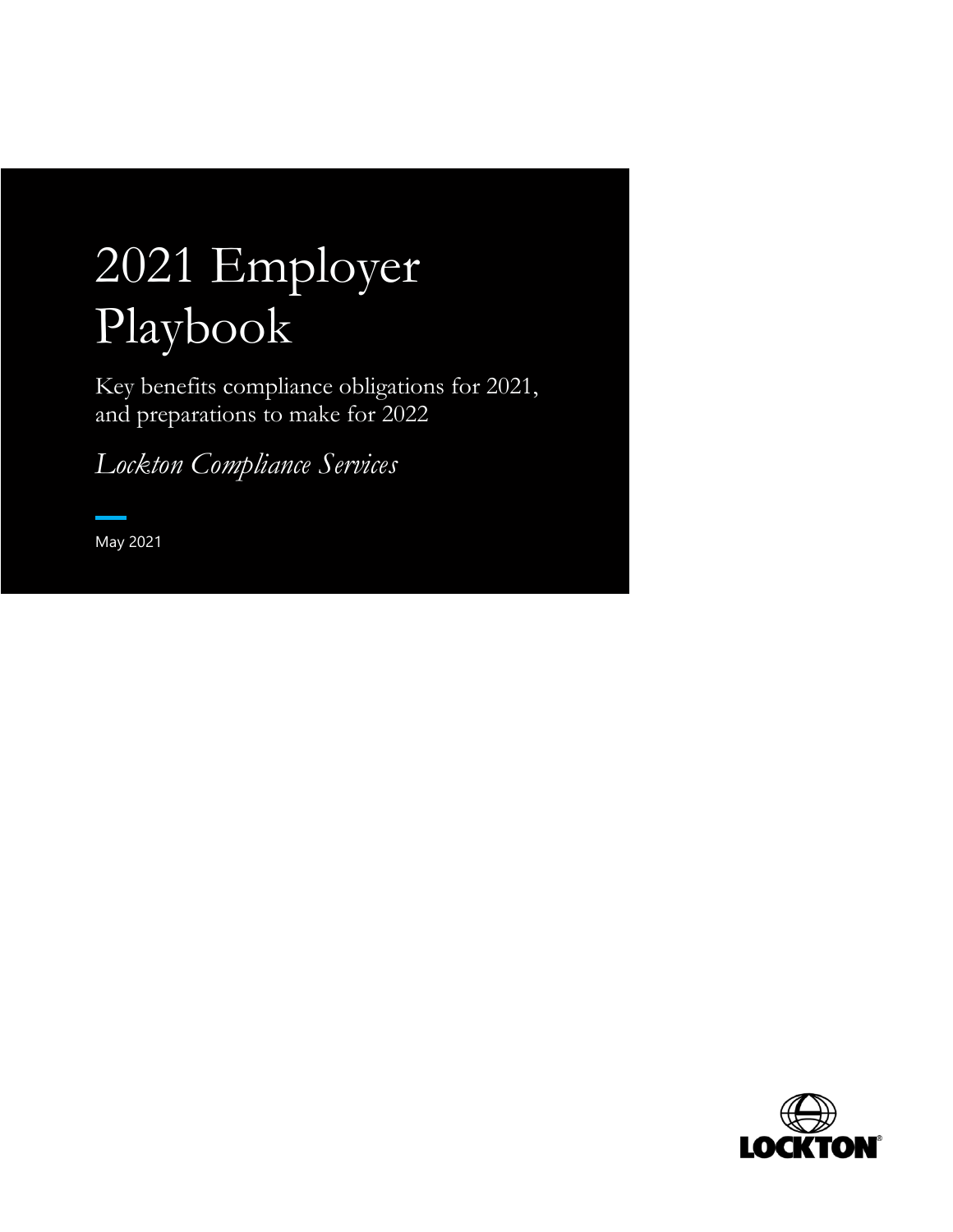# 2021 Employer Playbook

Key benefits compliance obligations for 2021, and preparations to make for 2022

*Lockton Compliance Services*

May 2021

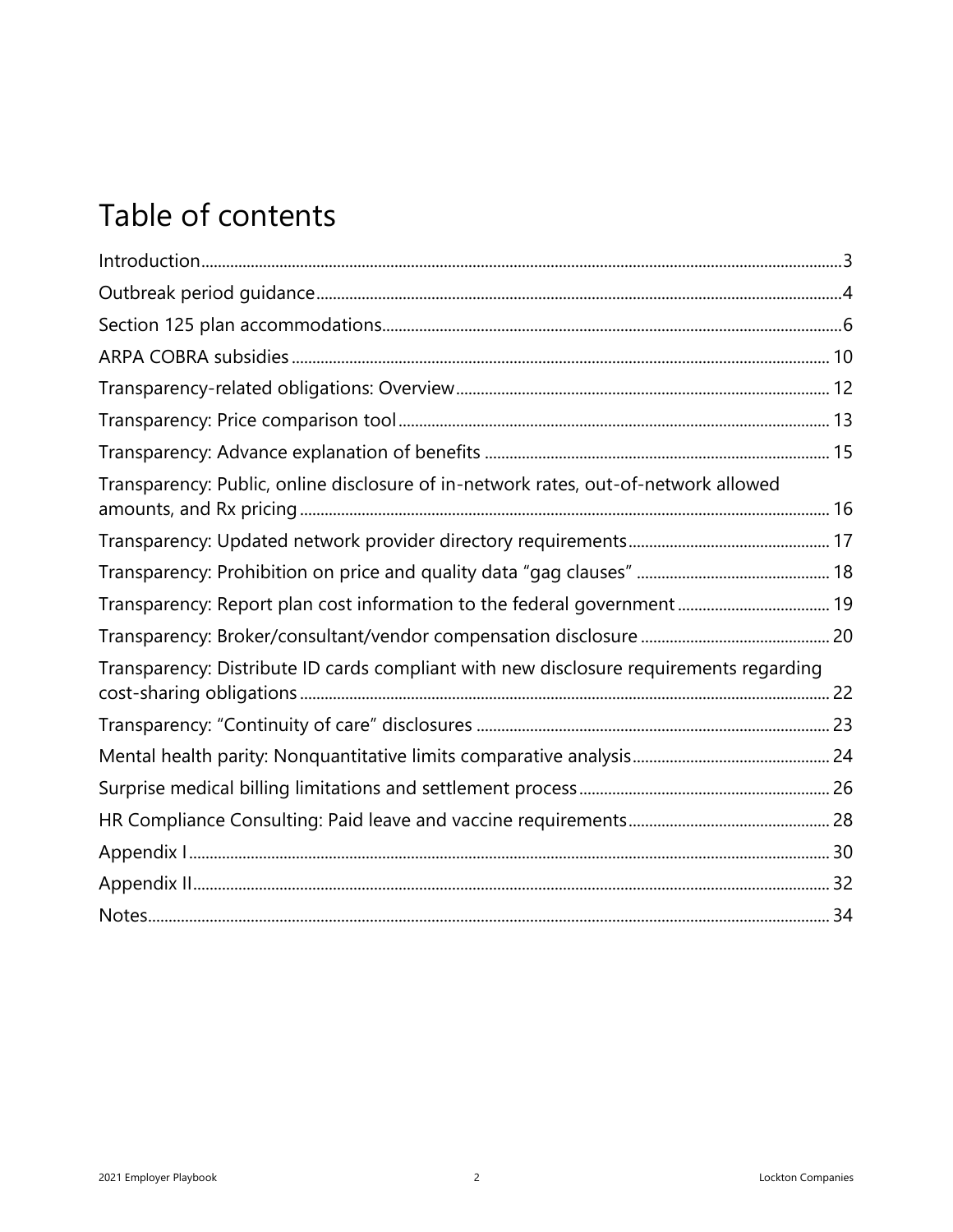# Table of contents

| Transparency: Public, online disclosure of in-network rates, out-of-network allowed    |  |
|----------------------------------------------------------------------------------------|--|
|                                                                                        |  |
|                                                                                        |  |
|                                                                                        |  |
|                                                                                        |  |
| Transparency: Distribute ID cards compliant with new disclosure requirements regarding |  |
|                                                                                        |  |
|                                                                                        |  |
|                                                                                        |  |
|                                                                                        |  |
|                                                                                        |  |
|                                                                                        |  |
|                                                                                        |  |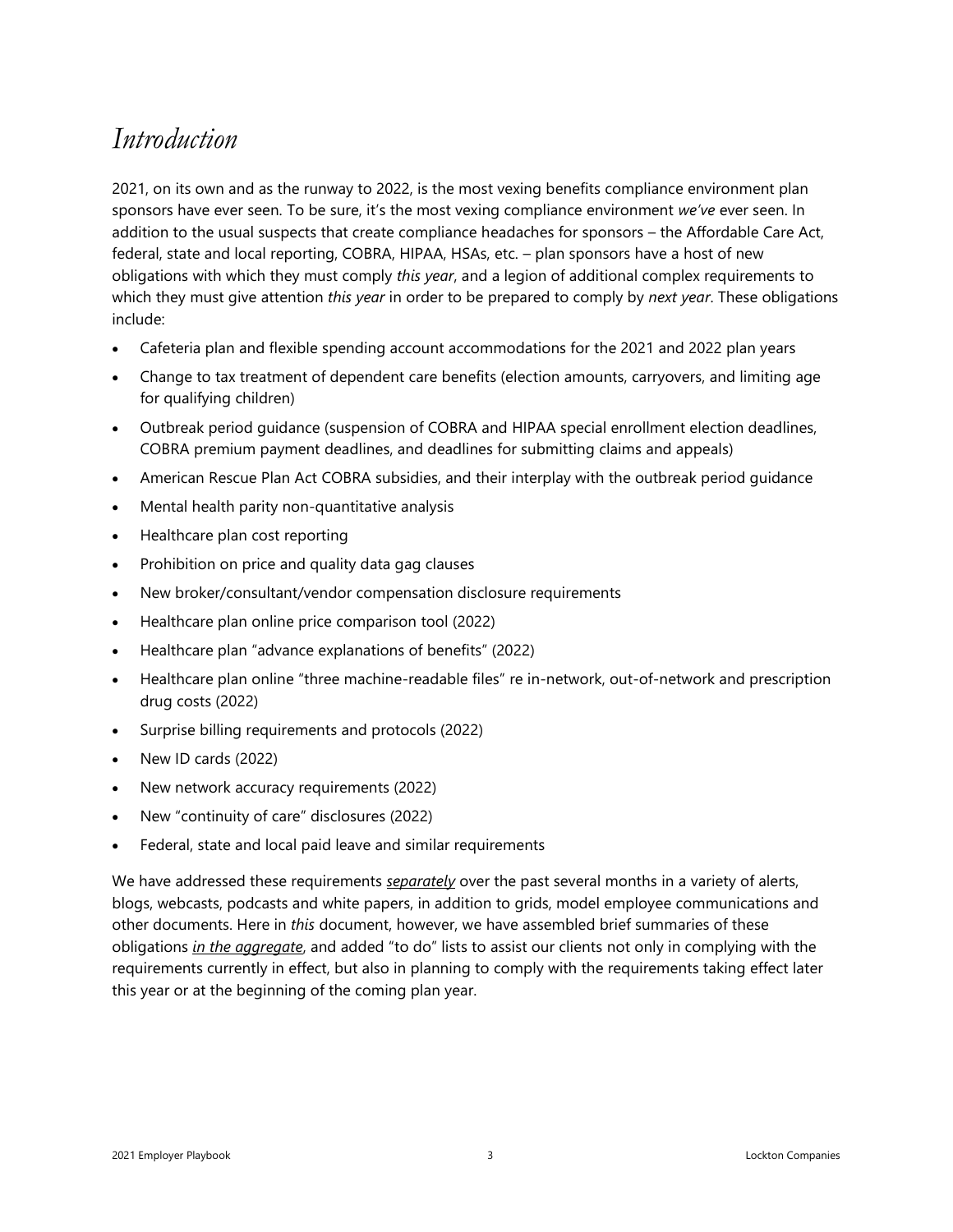### <span id="page-2-0"></span>*Introduction*

2021, on its own and as the runway to 2022, is the most vexing benefits compliance environment plan sponsors have ever seen. To be sure, it's the most vexing compliance environment *we've* ever seen. In addition to the usual suspects that create compliance headaches for sponsors – the Affordable Care Act, federal, state and local reporting, COBRA, HIPAA, HSAs, etc. – plan sponsors have a host of new obligations with which they must comply *this year*, and a legion of additional complex requirements to which they must give attention *this year* in order to be prepared to comply by *next year*. These obligations include:

- Cafeteria plan and flexible spending account accommodations for the 2021 and 2022 plan years
- Change to tax treatment of dependent care benefits (election amounts, carryovers, and limiting age for qualifying children)
- Outbreak period guidance (suspension of COBRA and HIPAA special enrollment election deadlines, COBRA premium payment deadlines, and deadlines for submitting claims and appeals)
- American Rescue Plan Act COBRA subsidies, and their interplay with the outbreak period guidance
- Mental health parity non-quantitative analysis
- Healthcare plan cost reporting
- Prohibition on price and quality data gag clauses
- New broker/consultant/vendor compensation disclosure requirements
- Healthcare plan online price comparison tool (2022)
- Healthcare plan "advance explanations of benefits" (2022)
- Healthcare plan online "three machine-readable files" re in-network, out-of-network and prescription drug costs (2022)
- Surprise billing requirements and protocols (2022)
- New ID cards (2022)
- New network accuracy requirements (2022)
- New "continuity of care" disclosures (2022)
- Federal, state and local paid leave and similar requirements

We have addressed these requirements *separately* over the past several months in a variety of alerts, blogs, webcasts, podcasts and white papers, in addition to grids, model employee communications and other documents. Here in *this* document, however, we have assembled brief summaries of these obligations *in the aggregate*, and added "to do" lists to assist our clients not only in complying with the requirements currently in effect, but also in planning to comply with the requirements taking effect later this year or at the beginning of the coming plan year.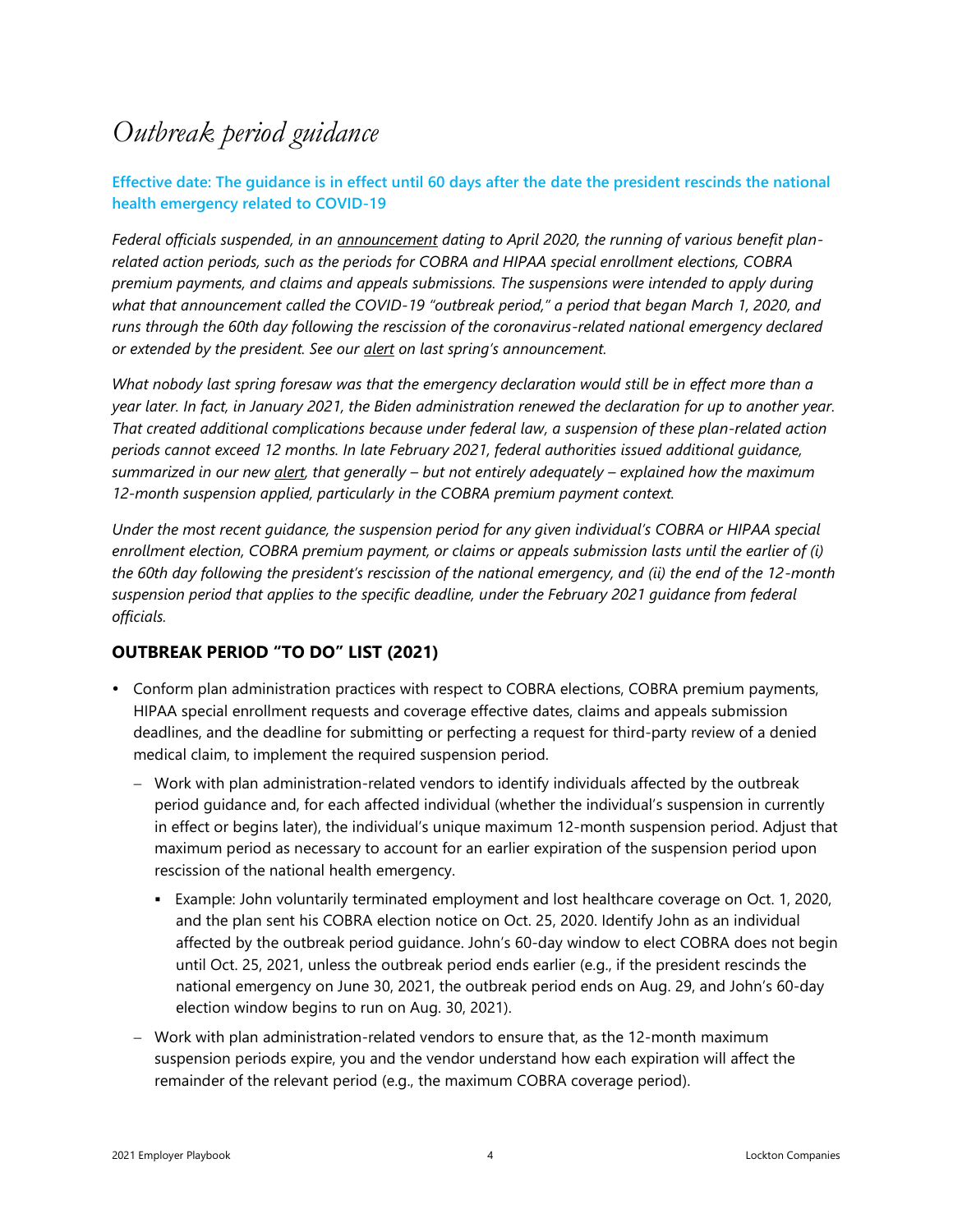### <span id="page-3-0"></span>*Outbreak period guidance*

#### **Effective date: The guidance is in effect until 60 days after the date the president rescinds the national health emergency related to COVID-19**

*Federal officials suspended, in an [announcement](https://www.dol.gov/agencies/ebsa/employers-and-advisers/plan-administration-and-compliance/disaster-relief/ebsa-disaster-relief-notice-2020-01) dating to April 2020, the running of various benefit planrelated action periods, such as the periods for COBRA and HIPAA special enrollment elections, COBRA premium payments, and claims and appeals submissions. The suspensions were intended to apply during what that announcement called the COVID-19 "outbreak period," a period that began March 1, 2020, and runs through the 60th day following the rescission of the coronavirus-related national emergency declared or extended by the president. See our [alert](https://www.lockton.com/insights/post/feds-wave-wand-make-months-disappear-from-benefits-plan-calendars?utm_source=compliance_alert&utm_medium=cap_page&utm_campaign=20200501-extended-deadlines-alert&utm_term=dot_com) on last spring's announcement.*

*What nobody last spring foresaw was that the emergency declaration would still be in effect more than a year later. In fact, in January 2021, the Biden administration renewed the declaration for up to another year. That created additional complications because under federal law, a suspension of these plan-related action periods cannot exceed 12 months. In late February 2021, federal authorities issued additional guidance, summarized in our new [alert,](https://www.lockton.com/insights/post/one-for-your-sins-feds-outbreak-period-guidance-creates-migraines-for-plan) that generally – but not entirely adequately – explained how the maximum 12-month suspension applied, particularly in the COBRA premium payment context.* 

*Under the most recent guidance, the suspension period for any given individual's COBRA or HIPAA special enrollment election, COBRA premium payment, or claims or appeals submission lasts until the earlier of (i) the 60th day following the president's rescission of the national emergency, and (ii) the end of the 12-month suspension period that applies to the specific deadline, under the February 2021 guidance from federal officials.*

#### **OUTBREAK PERIOD "TO DO" LIST (2021)**

- Conform plan administration practices with respect to COBRA elections, COBRA premium payments, HIPAA special enrollment requests and coverage effective dates, claims and appeals submission deadlines, and the deadline for submitting or perfecting a request for third-party review of a denied medical claim, to implement the required suspension period.
	- − Work with plan administration-related vendors to identify individuals affected by the outbreak period guidance and, for each affected individual (whether the individual's suspension in currently in effect or begins later), the individual's unique maximum 12-month suspension period. Adjust that maximum period as necessary to account for an earlier expiration of the suspension period upon rescission of the national health emergency.
		- Example: John voluntarily terminated employment and lost healthcare coverage on Oct. 1, 2020, and the plan sent his COBRA election notice on Oct. 25, 2020. Identify John as an individual affected by the outbreak period guidance. John's 60-day window to elect COBRA does not begin until Oct. 25, 2021, unless the outbreak period ends earlier (e.g., if the president rescinds the national emergency on June 30, 2021, the outbreak period ends on Aug. 29, and John's 60-day election window begins to run on Aug. 30, 2021).
	- − Work with plan administration-related vendors to ensure that, as the 12-month maximum suspension periods expire, you and the vendor understand how each expiration will affect the remainder of the relevant period (e.g., the maximum COBRA coverage period).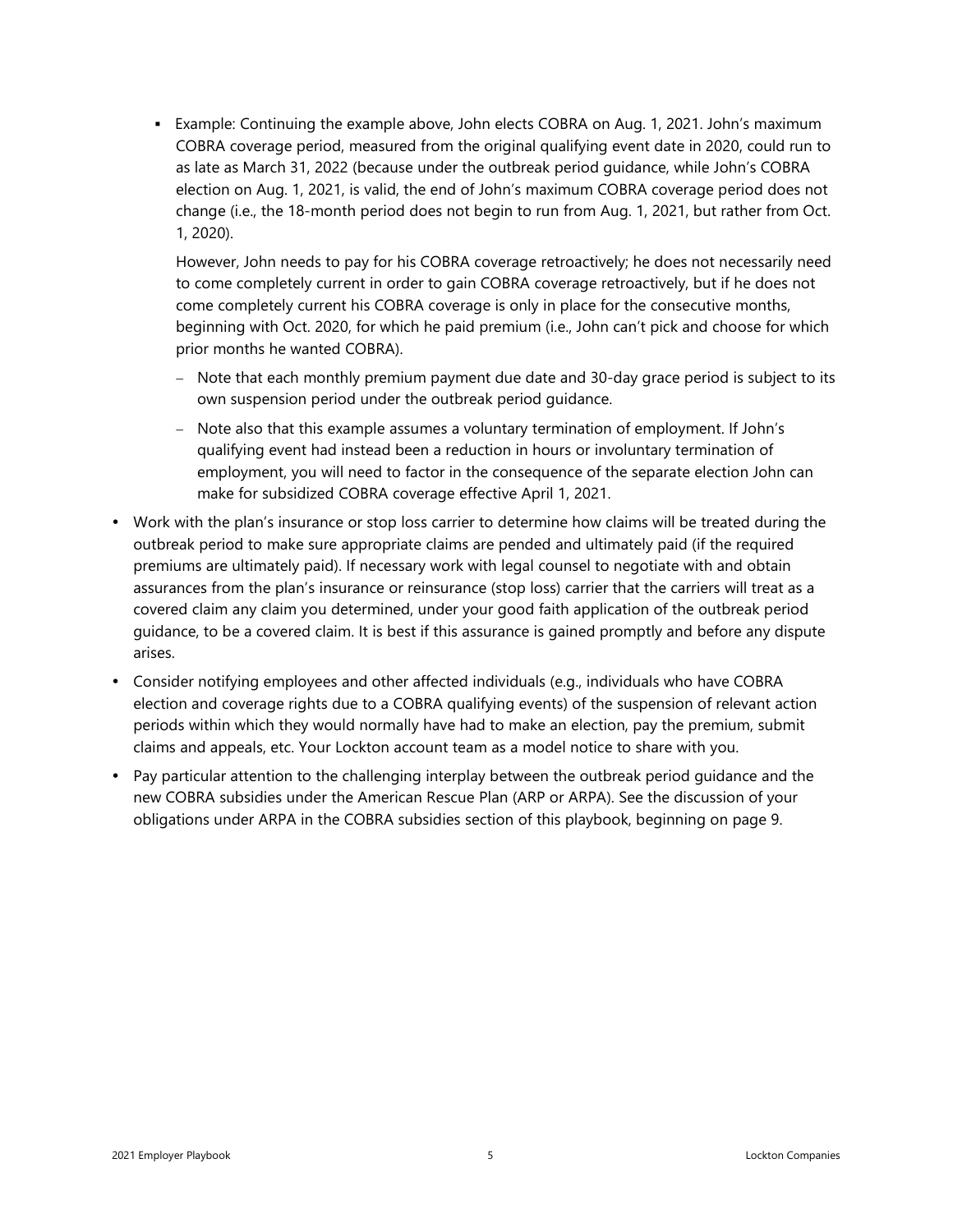**Example: Continuing the example above, John elects COBRA on Aug. 1, 2021. John's maximum** COBRA coverage period, measured from the original qualifying event date in 2020, could run to as late as March 31, 2022 (because under the outbreak period guidance, while John's COBRA election on Aug. 1, 2021, is valid, the end of John's maximum COBRA coverage period does not change (i.e., the 18-month period does not begin to run from Aug. 1, 2021, but rather from Oct. 1, 2020).

However, John needs to pay for his COBRA coverage retroactively; he does not necessarily need to come completely current in order to gain COBRA coverage retroactively, but if he does not come completely current his COBRA coverage is only in place for the consecutive months, beginning with Oct. 2020, for which he paid premium (i.e., John can't pick and choose for which prior months he wanted COBRA).

- − Note that each monthly premium payment due date and 30-day grace period is subject to its own suspension period under the outbreak period guidance.
- − Note also that this example assumes a voluntary termination of employment. If John's qualifying event had instead been a reduction in hours or involuntary termination of employment, you will need to factor in the consequence of the separate election John can make for subsidized COBRA coverage effective April 1, 2021.
- Work with the plan's insurance or stop loss carrier to determine how claims will be treated during the outbreak period to make sure appropriate claims are pended and ultimately paid (if the required premiums are ultimately paid). If necessary work with legal counsel to negotiate with and obtain assurances from the plan's insurance or reinsurance (stop loss) carrier that the carriers will treat as a covered claim any claim you determined, under your good faith application of the outbreak period guidance, to be a covered claim. It is best if this assurance is gained promptly and before any dispute arises.
- Consider notifying employees and other affected individuals (e.g., individuals who have COBRA election and coverage rights due to a COBRA qualifying events) of the suspension of relevant action periods within which they would normally have had to make an election, pay the premium, submit claims and appeals, etc. Your Lockton account team as a model notice to share with you.
- Pay particular attention to the challenging interplay between the outbreak period guidance and the new COBRA subsidies under the American Rescue Plan (ARP or ARPA). See the discussion of your obligations under ARPA in the COBRA subsidies section of this playbook, beginning on page 9.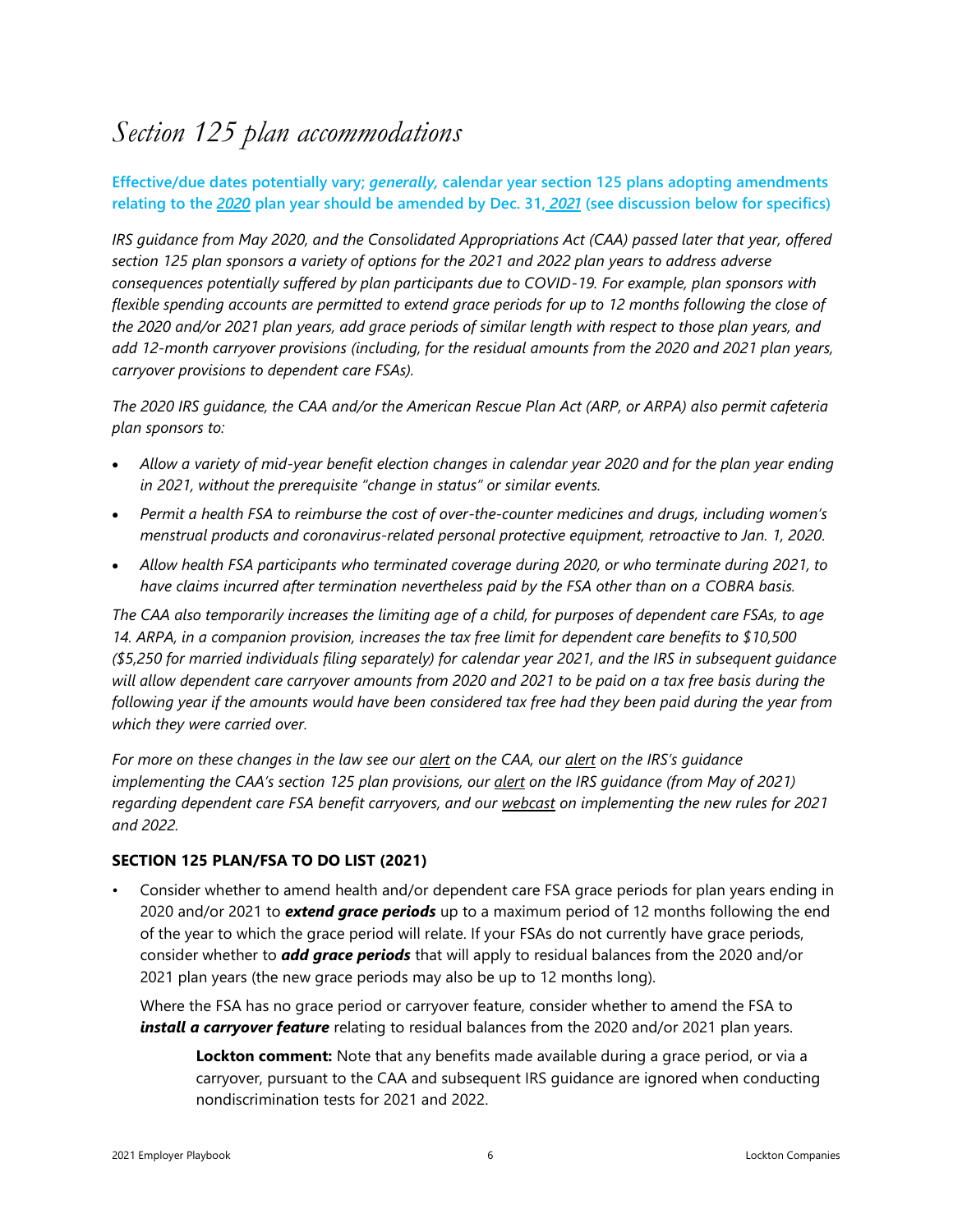### <span id="page-5-0"></span>*Section 125 plan accommodations*

#### **Effective/due dates potentially vary;** *generally,* **calendar year section 125 plans adopting amendments relating to the** *2020* **plan year should be amended by Dec. 31,** *2021* **(see discussion below for specifics)**

*IRS guidance from May 2020, and the Consolidated Appropriations Act (CAA) passed later that year, offered section 125 plan sponsors a variety of options for the 2021 and 2022 plan years to address adverse consequences potentially suffered by plan participants due to COVID-19. For example, plan sponsors with flexible spending accounts are permitted to extend grace periods for up to 12 months following the close of the 2020 and/or 2021 plan years, add grace periods of similar length with respect to those plan years, and add 12-month carryover provisions (including, for the residual amounts from the 2020 and 2021 plan years, carryover provisions to dependent care FSAs).*

*The 2020 IRS guidance, the CAA and/or the American Rescue Plan Act (ARP, or ARPA) also permit cafeteria plan sponsors to:*

- *Allow a variety of mid-year benefit election changes in calendar year 2020 and for the plan year ending in 2021, without the prerequisite "change in status" or similar events.*
- *Permit a health FSA to reimburse the cost of over-the-counter medicines and drugs, including women's menstrual products and coronavirus-related personal protective equipment, retroactive to Jan. 1, 2020.*
- *Allow health FSA participants who terminated coverage during 2020, or who terminate during 2021, to have claims incurred after termination nevertheless paid by the FSA other than on a COBRA basis.*

*The CAA also temporarily increases the limiting age of a child, for purposes of dependent care FSAs, to age 14. ARPA, in a companion provision, increases the tax free limit for dependent care benefits to \$10,500 (\$5,250 for married individuals filing separately) for calendar year 2021, and the IRS in subsequent guidance will allow dependent care carryover amounts from 2020 and 2021 to be paid on a tax free basis during the following year if the amounts would have been considered tax free had they been paid during the year from which they were carried over.*

*For more on these changes in the law see our [alert](https://www.lockton.com/insights/post/congresss-covid-19-package-includes-additional-burdens-benefits-for-group-h) on the CAA, our [alert](https://www.lockton.com/insights/post/irs-clarifies-aspects-of-recent-fsa-and-cafeteria-plan-accommodations) on the IRS's guidance implementing the CAA's section 125 plan provisions, our [alert](https://www.lockton.com/insights/post/dependent-care-benefits-irs-addresses-how-extended-carryovers-and-increased) on the IRS guidance (from May of 2021) regarding dependent care FSA benefit carryovers, and our [webcast](http://www.locktononline.com/iknowledge/Lockton%20Toolbox%20Documents/Webcasts%20and%20Podcasts/20210317_Replay_The%20dizzying%20array%20of%20new%20FSA%20and%20cafeteria%20plan%20accommodations.pdf) on implementing the new rules for 2021 and 2022.* 

#### **SECTION 125 PLAN/FSA TO DO LIST (2021)**

• Consider whether to amend health and/or dependent care FSA grace periods for plan years ending in 2020 and/or 2021 to *extend grace periods* up to a maximum period of 12 months following the end of the year to which the grace period will relate. If your FSAs do not currently have grace periods, consider whether to *add grace periods* that will apply to residual balances from the 2020 and/or 2021 plan years (the new grace periods may also be up to 12 months long).

Where the FSA has no grace period or carryover feature, consider whether to amend the FSA to *install a carryover feature* relating to residual balances from the 2020 and/or 2021 plan years.

**Lockton comment:** Note that any benefits made available during a grace period, or via a carryover, pursuant to the CAA and subsequent IRS guidance are ignored when conducting nondiscrimination tests for 2021 and 2022.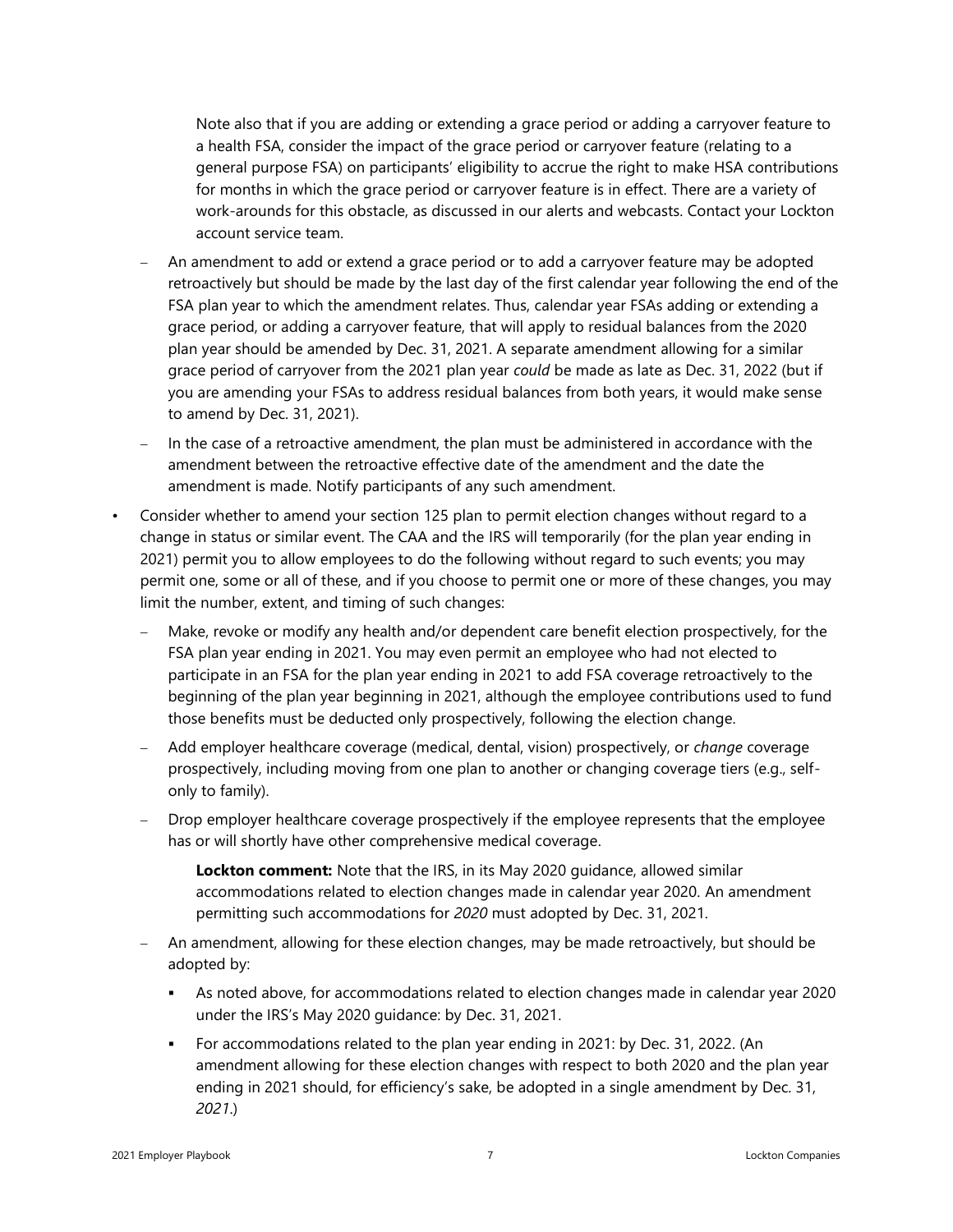Note also that if you are adding or extending a grace period or adding a carryover feature to a health FSA, consider the impact of the grace period or carryover feature (relating to a general purpose FSA) on participants' eligibility to accrue the right to make HSA contributions for months in which the grace period or carryover feature is in effect. There are a variety of work-arounds for this obstacle, as discussed in our alerts and webcasts. Contact your Lockton account service team.

- − An amendment to add or extend a grace period or to add a carryover feature may be adopted retroactively but should be made by the last day of the first calendar year following the end of the FSA plan year to which the amendment relates. Thus, calendar year FSAs adding or extending a grace period, or adding a carryover feature, that will apply to residual balances from the 2020 plan year should be amended by Dec. 31, 2021. A separate amendment allowing for a similar grace period of carryover from the 2021 plan year *could* be made as late as Dec. 31, 2022 (but if you are amending your FSAs to address residual balances from both years, it would make sense to amend by Dec. 31, 2021).
- − In the case of a retroactive amendment, the plan must be administered in accordance with the amendment between the retroactive effective date of the amendment and the date the amendment is made. Notify participants of any such amendment.
- Consider whether to amend your section 125 plan to permit election changes without regard to a change in status or similar event. The CAA and the IRS will temporarily (for the plan year ending in 2021) permit you to allow employees to do the following without regard to such events; you may permit one, some or all of these, and if you choose to permit one or more of these changes, you may limit the number, extent, and timing of such changes:
	- Make, revoke or modify any health and/or dependent care benefit election prospectively, for the FSA plan year ending in 2021. You may even permit an employee who had not elected to participate in an FSA for the plan year ending in 2021 to add FSA coverage retroactively to the beginning of the plan year beginning in 2021, although the employee contributions used to fund those benefits must be deducted only prospectively, following the election change.
	- − Add employer healthcare coverage (medical, dental, vision) prospectively, or *change* coverage prospectively, including moving from one plan to another or changing coverage tiers (e.g., selfonly to family).
	- Drop employer healthcare coverage prospectively if the employee represents that the employee has or will shortly have other comprehensive medical coverage.

**Lockton comment:** Note that the IRS, in its May 2020 guidance, allowed similar accommodations related to election changes made in calendar year 2020. An amendment permitting such accommodations for *2020* must adopted by Dec. 31, 2021.

- − An amendment, allowing for these election changes, may be made retroactively, but should be adopted by:
	- As noted above, for accommodations related to election changes made in calendar year 2020 under the IRS's May 2020 guidance: by Dec. 31, 2021.
	- For accommodations related to the plan year ending in 2021: by Dec. 31, 2022. (An amendment allowing for these election changes with respect to both 2020 and the plan year ending in 2021 should, for efficiency's sake, be adopted in a single amendment by Dec. 31, *2021*.)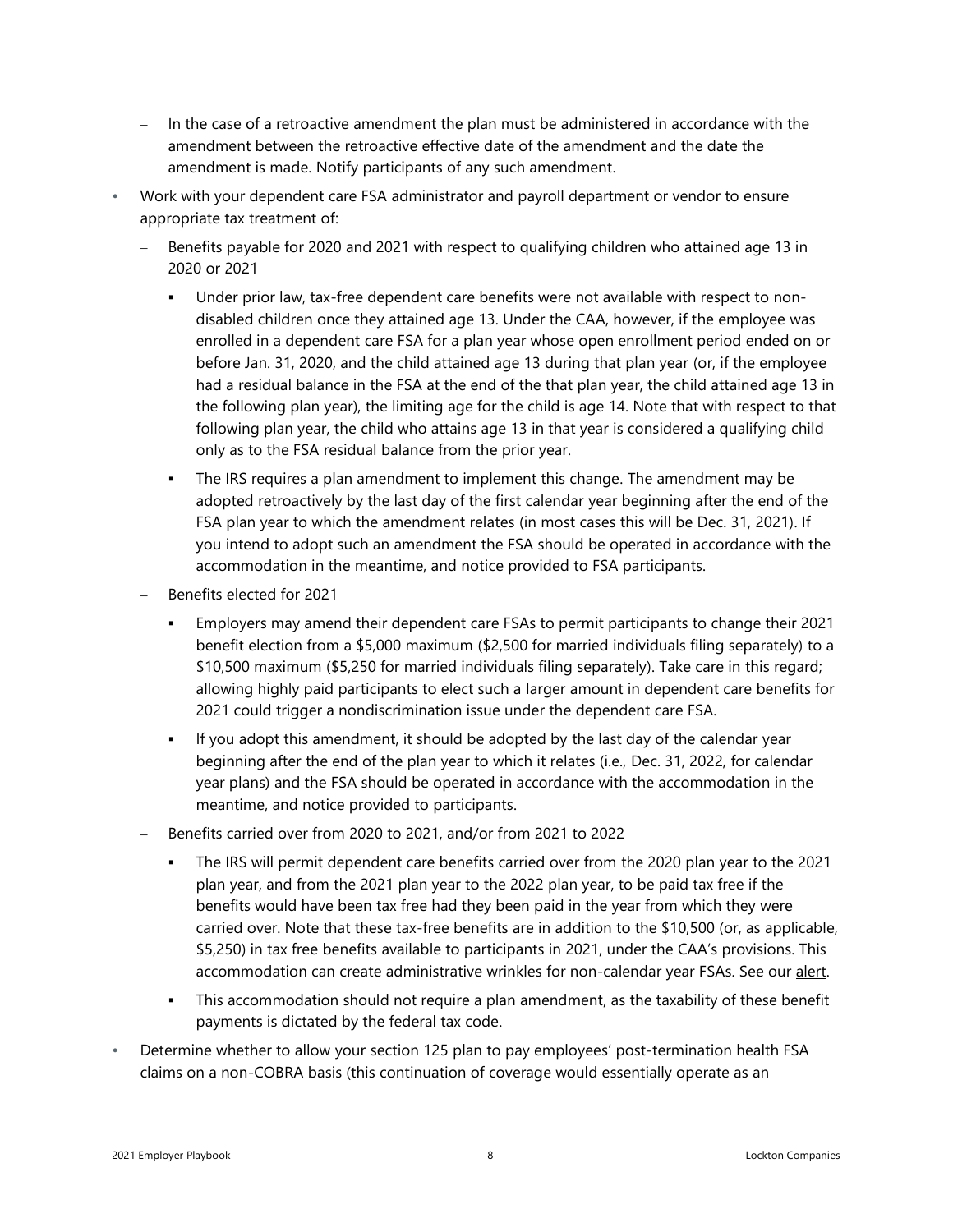- In the case of a retroactive amendment the plan must be administered in accordance with the amendment between the retroactive effective date of the amendment and the date the amendment is made. Notify participants of any such amendment.
- Work with your dependent care FSA administrator and payroll department or vendor to ensure appropriate tax treatment of:
	- Benefits payable for 2020 and 2021 with respect to qualifying children who attained age 13 in 2020 or 2021
		- Under prior law, tax-free dependent care benefits were not available with respect to nondisabled children once they attained age 13. Under the CAA, however, if the employee was enrolled in a dependent care FSA for a plan year whose open enrollment period ended on or before Jan. 31, 2020, and the child attained age 13 during that plan year (or, if the employee had a residual balance in the FSA at the end of the that plan year, the child attained age 13 in the following plan year), the limiting age for the child is age 14. Note that with respect to that following plan year, the child who attains age 13 in that year is considered a qualifying child only as to the FSA residual balance from the prior year.
		- The IRS requires a plan amendment to implement this change. The amendment may be adopted retroactively by the last day of the first calendar year beginning after the end of the FSA plan year to which the amendment relates (in most cases this will be Dec. 31, 2021). If you intend to adopt such an amendment the FSA should be operated in accordance with the accommodation in the meantime, and notice provided to FSA participants.
	- − Benefits elected for 2021
		- Employers may amend their dependent care FSAs to permit participants to change their 2021 benefit election from a \$5,000 maximum (\$2,500 for married individuals filing separately) to a \$10,500 maximum (\$5,250 for married individuals filing separately). Take care in this regard; allowing highly paid participants to elect such a larger amount in dependent care benefits for 2021 could trigger a nondiscrimination issue under the dependent care FSA.
		- If you adopt this amendment, it should be adopted by the last day of the calendar year beginning after the end of the plan year to which it relates (i.e., Dec. 31, 2022, for calendar year plans) and the FSA should be operated in accordance with the accommodation in the meantime, and notice provided to participants.
	- − Benefits carried over from 2020 to 2021, and/or from 2021 to 2022
		- The IRS will permit dependent care benefits carried over from the 2020 plan year to the 2021 plan year, and from the 2021 plan year to the 2022 plan year, to be paid tax free if the benefits would have been tax free had they been paid in the year from which they were carried over. Note that these tax-free benefits are in addition to the \$10,500 (or, as applicable, \$5,250) in tax free benefits available to participants in 2021, under the CAA's provisions. This accommodation can create administrative wrinkles for non-calendar year FSAs. See our [alert.](https://www.lockton.com/insights/post/dependent-care-benefits-irs-addresses-how-extended-carryovers-and-increased)
		- **•** This accommodation should not require a plan amendment, as the taxability of these benefit payments is dictated by the federal tax code.
- Determine whether to allow your section 125 plan to pay employees' post-termination health FSA claims on a non-COBRA basis (this continuation of coverage would essentially operate as an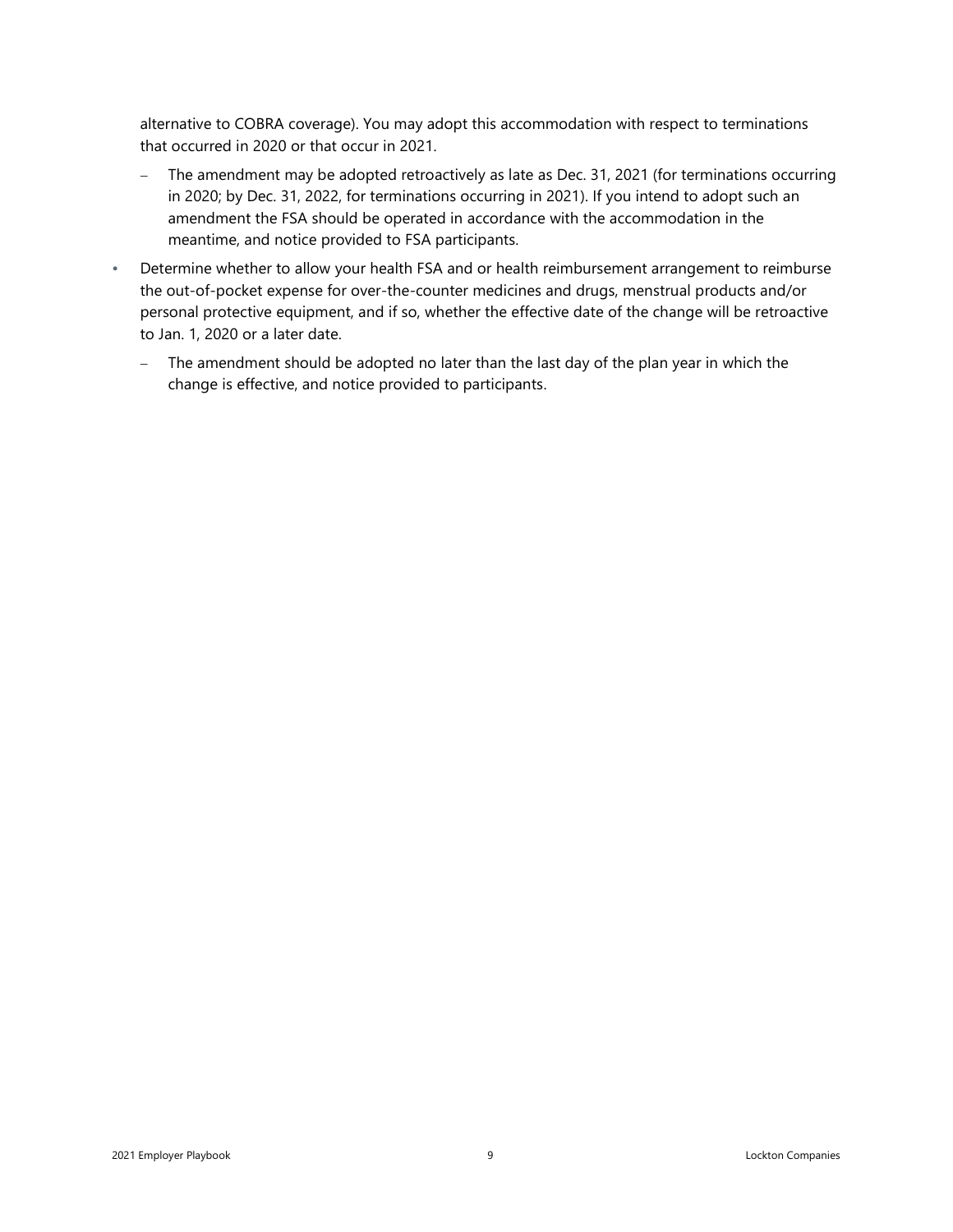alternative to COBRA coverage). You may adopt this accommodation with respect to terminations that occurred in 2020 or that occur in 2021.

- − The amendment may be adopted retroactively as late as Dec. 31, 2021 (for terminations occurring in 2020; by Dec. 31, 2022, for terminations occurring in 2021). If you intend to adopt such an amendment the FSA should be operated in accordance with the accommodation in the meantime, and notice provided to FSA participants.
- Determine whether to allow your health FSA and or health reimbursement arrangement to reimburse the out-of-pocket expense for over-the-counter medicines and drugs, menstrual products and/or personal protective equipment, and if so, whether the effective date of the change will be retroactive to Jan. 1, 2020 or a later date.
	- − The amendment should be adopted no later than the last day of the plan year in which the change is effective, and notice provided to participants.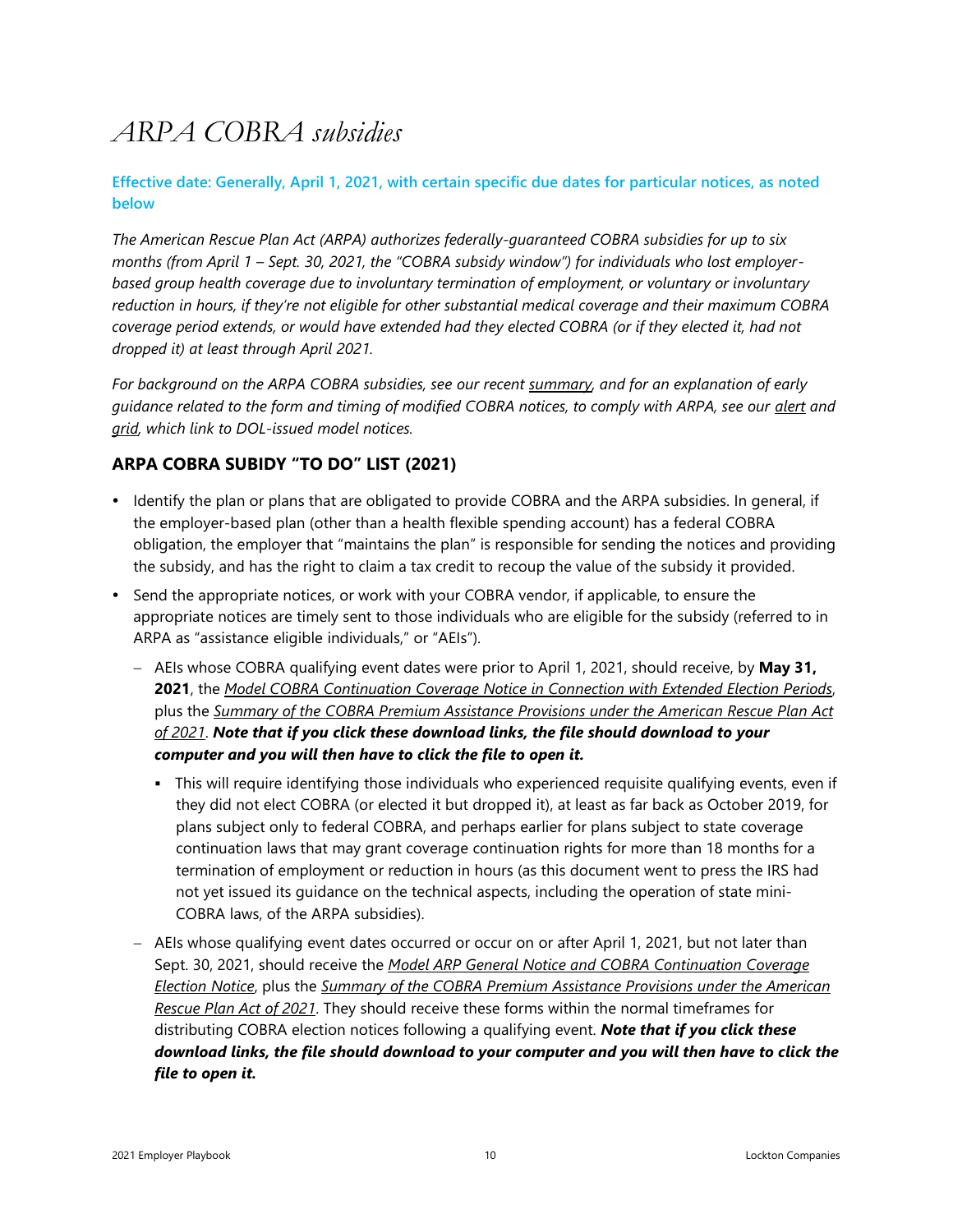## <span id="page-9-0"></span>*ARPA COBRA subsidies*

#### **Effective date: Generally, April 1, 2021, with certain specific due dates for particular notices, as noted below**

*The American Rescue Plan Act (ARPA) authorizes federally-guaranteed COBRA subsidies for up to six months (from April 1 – Sept. 30, 2021, the "COBRA subsidy window") for individuals who lost employerbased group health coverage due to involuntary termination of employment, or voluntary or involuntary reduction in hours, if they're not eligible for other substantial medical coverage and their maximum COBRA coverage period extends, or would have extended had they elected COBRA (or if they elected it, had not dropped it) at least through April 2021.* 

*For background on the ARPA COBRA subsidies, see our recent [summary,](http://s3-us-west-2.amazonaws.com/lockton-corporate-website/Compliance-Alerts/20210412_ARPA_COBRA_subsidy-APPENDIX.pdf) and for an explanation of early guidance related to the form and timing of modified COBRA notices, to comply with ARPA, see our [alert](https://www.lockton.com/insights/post/more-fizzle-than-sizzle-feds-issue-first-arpa-cobra-subsidy-faqs-and-model) and [grid,](http://s3-us-west-2.amazonaws.com/lockton-corporate-website/Compliance-Alerts/20210409_ARPA_COBRA_Subsidy_Notices_grid.pdf) which link to DOL-issued model notices.* 

#### **ARPA COBRA SUBIDY "TO DO" LIST (2021)**

- Identify the plan or plans that are obligated to provide COBRA and the ARPA subsidies. In general, if the employer-based plan (other than a health flexible spending account) has a federal COBRA obligation, the employer that "maintains the plan" is responsible for sending the notices and providing the subsidy, and has the right to claim a tax credit to recoup the value of the subsidy it provided.
- Send the appropriate notices, or work with your COBRA vendor, if applicable, to ensure the appropriate notices are timely sent to those individuals who are eligible for the subsidy (referred to in ARPA as "assistance eligible individuals," or "AEIs").
	- − AEIs whose COBRA qualifying event dates were prior to April 1, 2021, should receive, by **May 31, 2021**, the *Model COBRA [Continuation](https://s3-us-west-2.amazonaws.com/lockton-corporate-website/Compliance-Alerts/ARPA_Model_2d_Bite_COBRA_Elect_Notice.docx) Coverage Notice in Connection with Extended Election Periods*, plus the *Summary of the COBRA Premium [Assistance](https://s3-us-west-2.amazonaws.com/lockton-corporate-website/Compliance-Alerts/ARPA_Model_Summary_of_COBRA_Subsidies.docx) Provisions under the American Rescue Plan Act of [2021](https://s3-us-west-2.amazonaws.com/lockton-corporate-website/Compliance-Alerts/ARPA_Model_Summary_of_COBRA_Subsidies.docx)*. *Note that if you click these download links, the file should download to your computer and you will then have to click the file to open it.*
		- **•** This will require identifying those individuals who experienced requisite qualifying events, even if they did not elect COBRA (or elected it but dropped it), at least as far back as October 2019, for plans subject only to federal COBRA, and perhaps earlier for plans subject to state coverage continuation laws that may grant coverage continuation rights for more than 18 months for a termination of employment or reduction in hours (as this document went to press the IRS had not yet issued its guidance on the technical aspects, including the operation of state mini-COBRA laws, of the ARPA subsidies).
	- − AEIs whose qualifying event dates occurred or occur on or after April 1, 2021, but not later than Sept. 30, 2021, should receive the *Model ARP General Notice and COBRA [Continuation](https://s3-us-west-2.amazonaws.com/lockton-corporate-website/Compliance-Alerts/ARPA_Model_Std_COBRA_Elect_Notice.docx) Coverage [Election](https://s3-us-west-2.amazonaws.com/lockton-corporate-website/Compliance-Alerts/ARPA_Model_Std_COBRA_Elect_Notice.docx) Notice*, plus the *Summary of the COBRA Premium [Assistance](https://s3-us-west-2.amazonaws.com/lockton-corporate-website/Compliance-Alerts/ARPA_Model_Summary_of_COBRA_Subsidies.docx) Provisions under the American [Rescue](https://s3-us-west-2.amazonaws.com/lockton-corporate-website/Compliance-Alerts/ARPA_Model_Summary_of_COBRA_Subsidies.docx) Plan Act of 2021*. They should receive these forms within the normal timeframes for distributing COBRA election notices following a qualifying event. *Note that if you click these download links, the file should download to your computer and you will then have to click the file to open it.*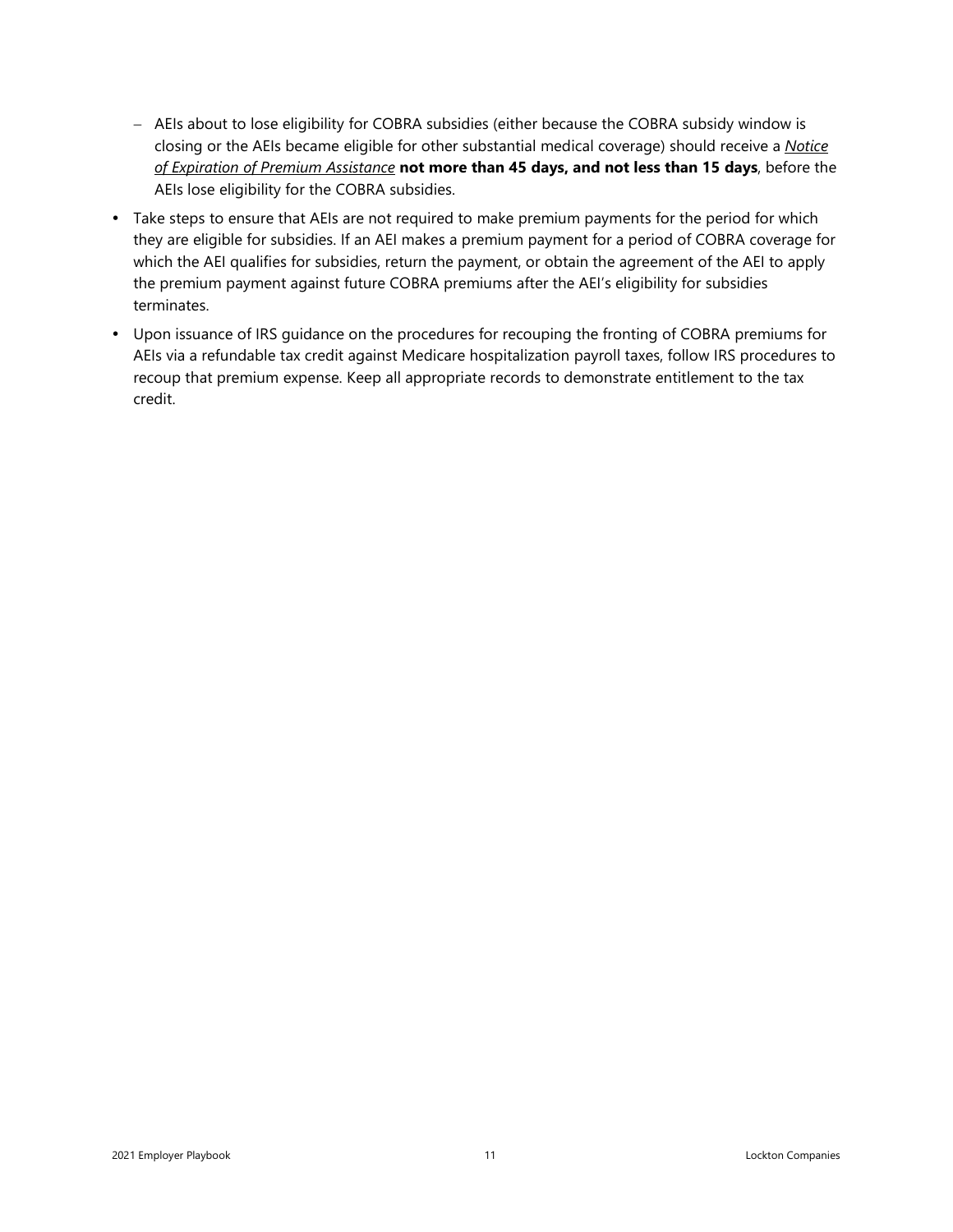- − AEIs about to lose eligibility for COBRA subsidies (either because the COBRA subsidy window is closing or the AEIs became eligible for other substantial medical coverage) should receive a *[Notice](https://s3-us-west-2.amazonaws.com/lockton-corporate-website/Compliance-Alerts/ARPA_Model_Notice_of_Subsidy_Termination.docx) of Expiration of Premium [Assistance](https://s3-us-west-2.amazonaws.com/lockton-corporate-website/Compliance-Alerts/ARPA_Model_Notice_of_Subsidy_Termination.docx)* **not more than 45 days, and not less than 15 days**, before the AEIs lose eligibility for the COBRA subsidies.
- Take steps to ensure that AEIs are not required to make premium payments for the period for which they are eligible for subsidies. If an AEI makes a premium payment for a period of COBRA coverage for which the AEI qualifies for subsidies, return the payment, or obtain the agreement of the AEI to apply the premium payment against future COBRA premiums after the AEI's eligibility for subsidies terminates.
- Upon issuance of IRS guidance on the procedures for recouping the fronting of COBRA premiums for AEIs via a refundable tax credit against Medicare hospitalization payroll taxes, follow IRS procedures to recoup that premium expense. Keep all appropriate records to demonstrate entitlement to the tax credit.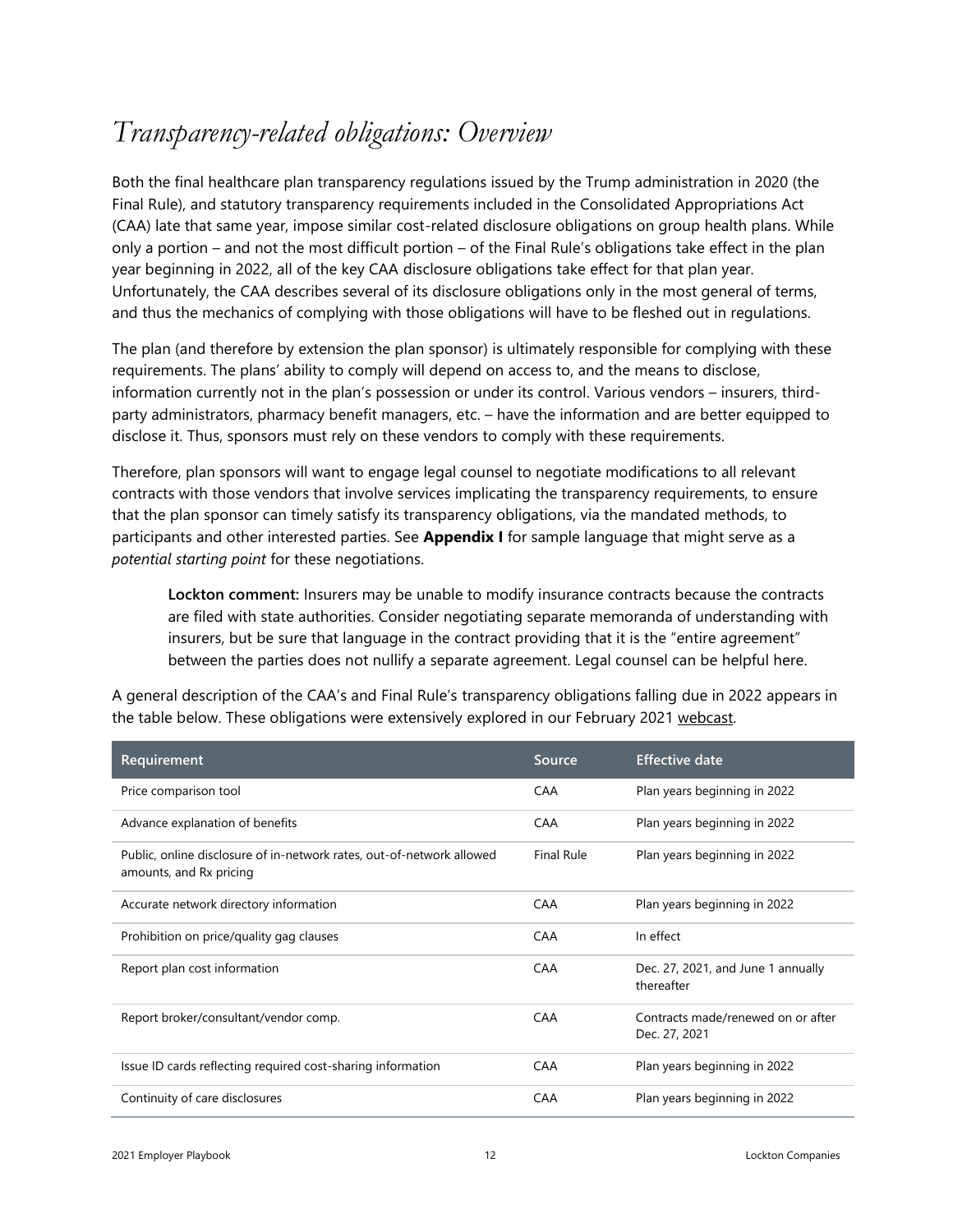### <span id="page-11-0"></span>*Transparency-related obligations: Overview*

Both the final healthcare plan transparency regulations issued by the Trump administration in 2020 (the Final Rule), and statutory transparency requirements included in the Consolidated Appropriations Act (CAA) late that same year, impose similar cost-related disclosure obligations on group health plans. While only a portion – and not the most difficult portion – of the Final Rule's obligations take effect in the plan year beginning in 2022, all of the key CAA disclosure obligations take effect for that plan year. Unfortunately, the CAA describes several of its disclosure obligations only in the most general of terms, and thus the mechanics of complying with those obligations will have to be fleshed out in regulations.

The plan (and therefore by extension the plan sponsor) is ultimately responsible for complying with these requirements. The plans' ability to comply will depend on access to, and the means to disclose, information currently not in the plan's possession or under its control. Various vendors – insurers, thirdparty administrators, pharmacy benefit managers, etc. – have the information and are better equipped to disclose it. Thus, sponsors must rely on these vendors to comply with these requirements.

Therefore, plan sponsors will want to engage legal counsel to negotiate modifications to all relevant contracts with those vendors that involve services implicating the transparency requirements, to ensure that the plan sponsor can timely satisfy its transparency obligations, via the mandated methods, to participants and other interested parties. See **Appendix I** for sample language that might serve as a *potential starting point* for these negotiations.

**Lockton comment:** Insurers may be unable to modify insurance contracts because the contracts are filed with state authorities. Consider negotiating separate memoranda of understanding with insurers, but be sure that language in the contract providing that it is the "entire agreement" between the parties does not nullify a separate agreement. Legal counsel can be helpful here.

A general description of the CAA's and Final Rule's transparency obligations falling due in 2022 appears in the table below. These obligations were extensively explored in our February 2021 [webcast.](http://s3-us-west-2.amazonaws.com/lockton-corporate-website/Compliance-Alerts/20210211_REPLAY_New_transparency_and_reporting_obligations_on_employers.pdf)

| Requirement                                                                                      | Source            | <b>Effective date</b>                               |
|--------------------------------------------------------------------------------------------------|-------------------|-----------------------------------------------------|
| Price comparison tool                                                                            | CAA               | Plan years beginning in 2022                        |
| Advance explanation of benefits                                                                  | <b>CAA</b>        | Plan years beginning in 2022                        |
| Public, online disclosure of in-network rates, out-of-network allowed<br>amounts, and Rx pricing | <b>Final Rule</b> | Plan years beginning in 2022                        |
| Accurate network directory information                                                           | <b>CAA</b>        | Plan years beginning in 2022                        |
| Prohibition on price/quality gag clauses                                                         | <b>CAA</b>        | In effect                                           |
| Report plan cost information                                                                     | CAA               | Dec. 27, 2021, and June 1 annually<br>thereafter    |
| Report broker/consultant/vendor comp.                                                            | <b>CAA</b>        | Contracts made/renewed on or after<br>Dec. 27, 2021 |
| Issue ID cards reflecting required cost-sharing information                                      | <b>CAA</b>        | Plan years beginning in 2022                        |
| Continuity of care disclosures                                                                   | <b>CAA</b>        | Plan years beginning in 2022                        |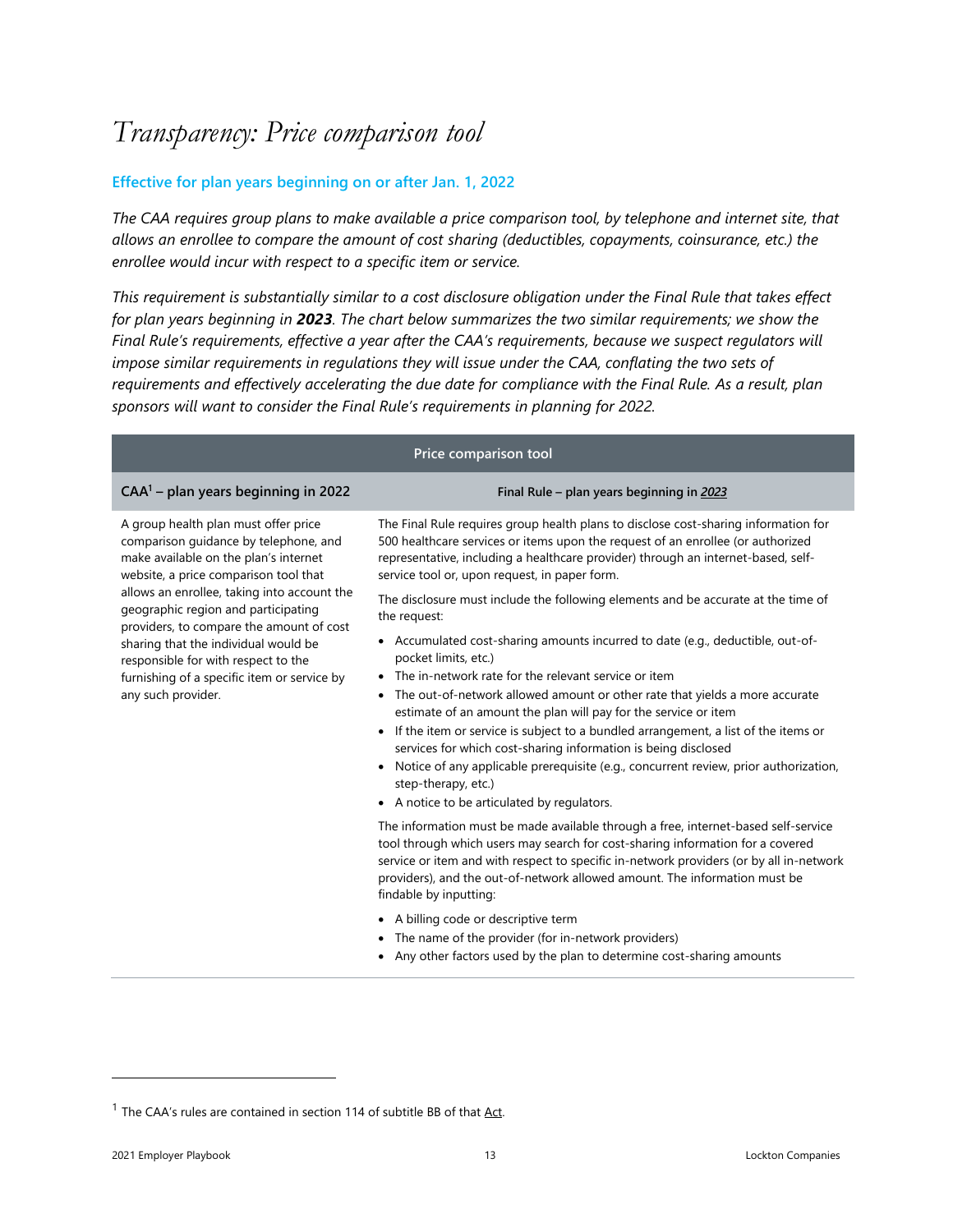### <span id="page-12-0"></span>*Transparency: Price comparison tool*

#### **Effective for plan years beginning on or after Jan. 1, 2022**

*The CAA requires group plans to make available a price comparison tool, by telephone and internet site, that allows an enrollee to compare the amount of cost sharing (deductibles, copayments, coinsurance, etc.) the enrollee would incur with respect to a specific item or service.* 

*This requirement is substantially similar to a cost disclosure obligation under the Final Rule that takes effect for plan years beginning in 2023. The chart below summarizes the two similar requirements; we show the Final Rule's requirements, effective a year after the CAA's requirements, because we suspect regulators will impose similar requirements in regulations they will issue under the CAA, conflating the two sets of requirements and effectively accelerating the due date for compliance with the Final Rule. As a result, plan sponsors will want to consider the Final Rule's requirements in planning for 2022.*

| Price comparison tool                                                                                                                                                                                                                                                                                                                                                                                                                                 |                                                                                                                                                                                                                                                                                                                                                                                                                                                                                                                                                                                                                                                |  |  |  |  |
|-------------------------------------------------------------------------------------------------------------------------------------------------------------------------------------------------------------------------------------------------------------------------------------------------------------------------------------------------------------------------------------------------------------------------------------------------------|------------------------------------------------------------------------------------------------------------------------------------------------------------------------------------------------------------------------------------------------------------------------------------------------------------------------------------------------------------------------------------------------------------------------------------------------------------------------------------------------------------------------------------------------------------------------------------------------------------------------------------------------|--|--|--|--|
| $CAA1$ – plan years beginning in 2022                                                                                                                                                                                                                                                                                                                                                                                                                 | Final Rule - plan years beginning in 2023                                                                                                                                                                                                                                                                                                                                                                                                                                                                                                                                                                                                      |  |  |  |  |
| A group health plan must offer price<br>comparison guidance by telephone, and<br>make available on the plan's internet<br>website, a price comparison tool that<br>allows an enrollee, taking into account the<br>geographic region and participating<br>providers, to compare the amount of cost<br>sharing that the individual would be<br>responsible for with respect to the<br>furnishing of a specific item or service by<br>any such provider. | The Final Rule requires group health plans to disclose cost-sharing information for<br>500 healthcare services or items upon the request of an enrollee (or authorized<br>representative, including a healthcare provider) through an internet-based, self-<br>service tool or, upon request, in paper form.                                                                                                                                                                                                                                                                                                                                   |  |  |  |  |
|                                                                                                                                                                                                                                                                                                                                                                                                                                                       | The disclosure must include the following elements and be accurate at the time of<br>the request:                                                                                                                                                                                                                                                                                                                                                                                                                                                                                                                                              |  |  |  |  |
|                                                                                                                                                                                                                                                                                                                                                                                                                                                       | • Accumulated cost-sharing amounts incurred to date (e.g., deductible, out-of-<br>pocket limits, etc.)<br>• The in-network rate for the relevant service or item<br>• The out-of-network allowed amount or other rate that yields a more accurate<br>estimate of an amount the plan will pay for the service or item<br>• If the item or service is subject to a bundled arrangement, a list of the items or<br>services for which cost-sharing information is being disclosed<br>• Notice of any applicable prerequisite (e.g., concurrent review, prior authorization,<br>step-therapy, etc.)<br>• A notice to be articulated by regulators. |  |  |  |  |
|                                                                                                                                                                                                                                                                                                                                                                                                                                                       | The information must be made available through a free, internet-based self-service<br>tool through which users may search for cost-sharing information for a covered<br>service or item and with respect to specific in-network providers (or by all in-network<br>providers), and the out-of-network allowed amount. The information must be<br>findable by inputting:<br>• A billing code or descriptive term<br>• The name of the provider (for in-network providers)                                                                                                                                                                       |  |  |  |  |

• Any other factors used by the plan to determine cost-sharing amounts

<sup>&</sup>lt;sup>1</sup> The CAA's rules are contained in section 114 of subtitle BB of that  $\Delta ct$ .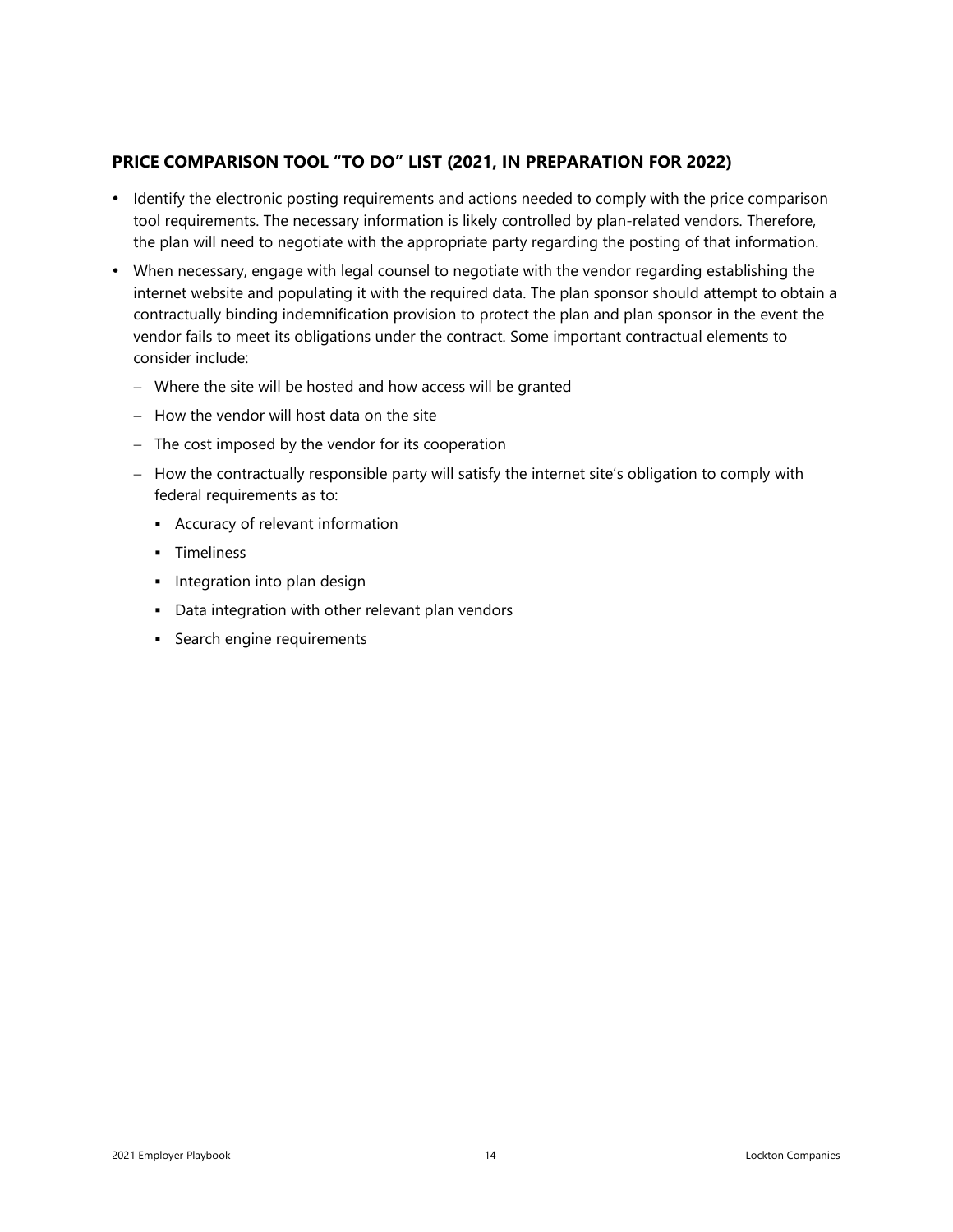#### **PRICE COMPARISON TOOL "TO DO" LIST (2021, IN PREPARATION FOR 2022)**

- Identify the electronic posting requirements and actions needed to comply with the price comparison tool requirements. The necessary information is likely controlled by plan-related vendors. Therefore, the plan will need to negotiate with the appropriate party regarding the posting of that information.
- When necessary, engage with legal counsel to negotiate with the vendor regarding establishing the internet website and populating it with the required data. The plan sponsor should attempt to obtain a contractually binding indemnification provision to protect the plan and plan sponsor in the event the vendor fails to meet its obligations under the contract. Some important contractual elements to consider include:
	- − Where the site will be hosted and how access will be granted
	- − How the vendor will host data on the site
	- − The cost imposed by the vendor for its cooperation
	- − How the contractually responsible party will satisfy the internet site's obligation to comply with federal requirements as to:
		- Accuracy of relevant information
		- Timeliness
		- **·** Integration into plan design
		- Data integration with other relevant plan vendors
		- Search engine requirements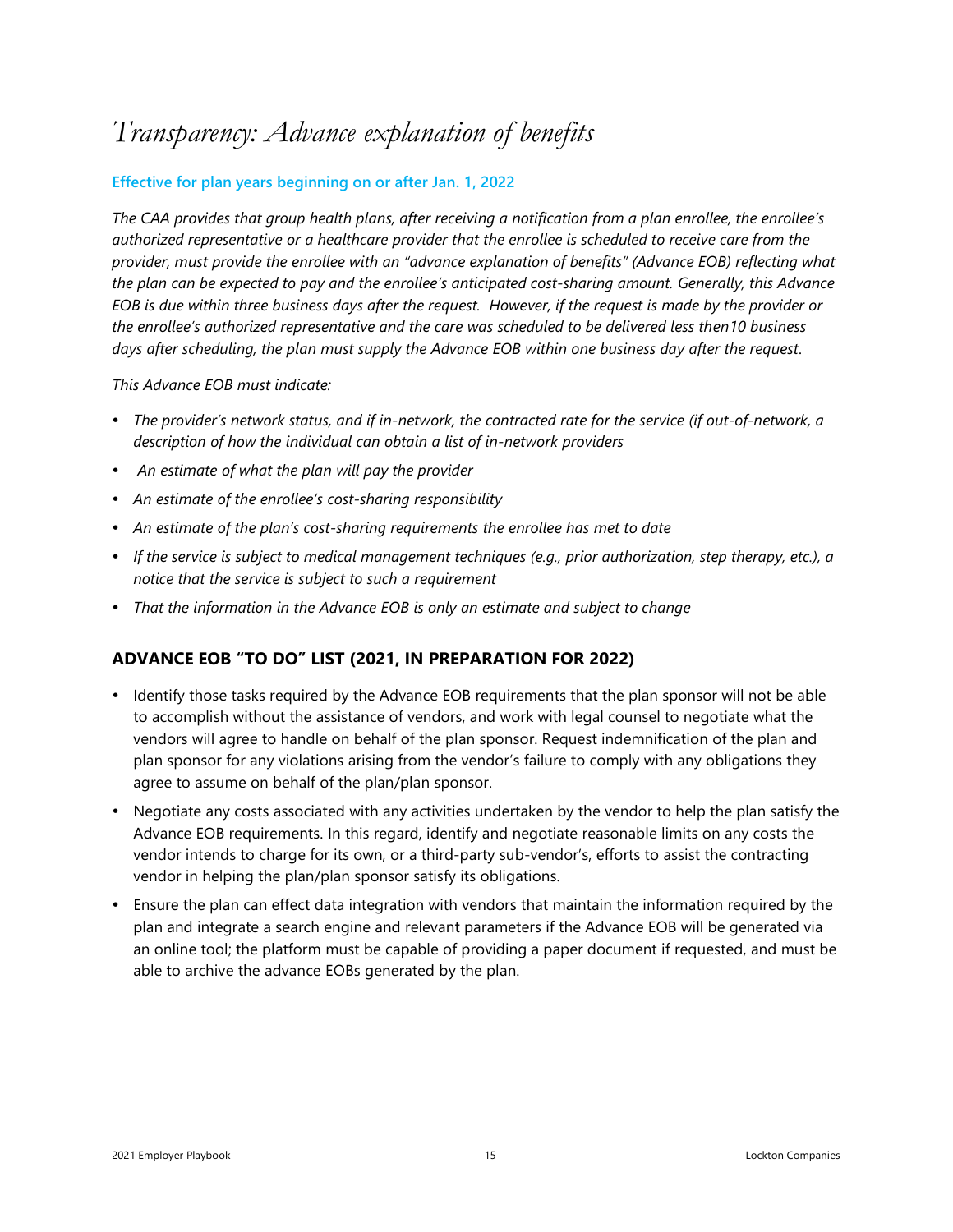### <span id="page-14-0"></span>*Transparency: Advance explanation of benefits*

#### **Effective for plan years beginning on or after Jan. 1, 2022**

*The CAA provides that group health plans, after receiving a notification from a plan enrollee, the enrollee's authorized representative or a healthcare provider that the enrollee is scheduled to receive care from the provider, must provide the enrollee with an "advance explanation of benefits" (Advance EOB) reflecting what the plan can be expected to pay and the enrollee's anticipated cost-sharing amount. Generally, this Advance EOB is due within three business days after the request. However, if the request is made by the provider or the enrollee's authorized representative and the care was scheduled to be delivered less then10 business days after scheduling, the plan must supply the Advance EOB within one business day after the request.* 

*This Advance EOB must indicate:*

- *The provider's network status, and if in-network, the contracted rate for the service (if out-of-network, a description of how the individual can obtain a list of in-network providers*
- *An estimate of what the plan will pay the provider*
- *An estimate of the enrollee's cost-sharing responsibility*
- *An estimate of the plan's cost-sharing requirements the enrollee has met to date*
- *If the service is subject to medical management techniques (e.g., prior authorization, step therapy, etc.), a notice that the service is subject to such a requirement*
- *That the information in the Advance EOB is only an estimate and subject to change*

#### **ADVANCE EOB "TO DO" LIST (2021, IN PREPARATION FOR 2022)**

- Identify those tasks required by the Advance EOB requirements that the plan sponsor will not be able to accomplish without the assistance of vendors, and work with legal counsel to negotiate what the vendors will agree to handle on behalf of the plan sponsor. Request indemnification of the plan and plan sponsor for any violations arising from the vendor's failure to comply with any obligations they agree to assume on behalf of the plan/plan sponsor.
- Negotiate any costs associated with any activities undertaken by the vendor to help the plan satisfy the Advance EOB requirements. In this regard, identify and negotiate reasonable limits on any costs the vendor intends to charge for its own, or a third-party sub-vendor's, efforts to assist the contracting vendor in helping the plan/plan sponsor satisfy its obligations.
- Ensure the plan can effect data integration with vendors that maintain the information required by the plan and integrate a search engine and relevant parameters if the Advance EOB will be generated via an online tool; the platform must be capable of providing a paper document if requested, and must be able to archive the advance EOBs generated by the plan.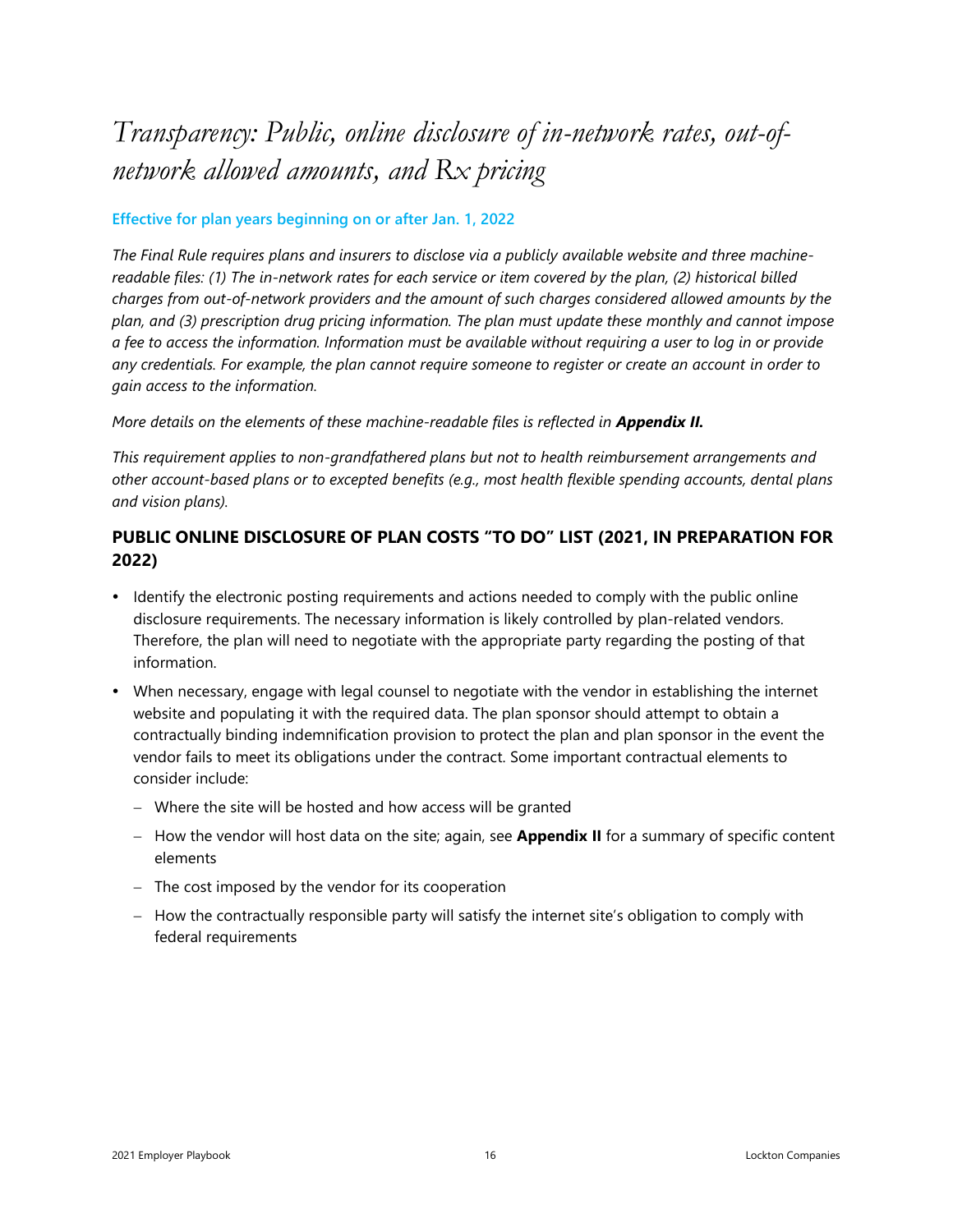## <span id="page-15-0"></span>*Transparency: Public, online disclosure of in-network rates, out-ofnetwork allowed amounts, and Rx pricing*

#### **Effective for plan years beginning on or after Jan. 1, 2022**

*The Final Rule requires plans and insurers to disclose via a publicly available website and three machinereadable files: (1) The in-network rates for each service or item covered by the plan, (2) historical billed charges from out-of-network providers and the amount of such charges considered allowed amounts by the plan, and (3) prescription drug pricing information. The plan must update these monthly and cannot impose a fee to access the information. Information must be available without requiring a user to log in or provide any credentials. For example, the plan cannot require someone to register or create an account in order to gain access to the information.* 

*More details on the elements of these machine-readable files is reflected in Appendix II.*

*This requirement applies to non-grandfathered plans but not to health reimbursement arrangements and other account-based plans or to excepted benefits (e.g., most health flexible spending accounts, dental plans and vision plans).*

#### **PUBLIC ONLINE DISCLOSURE OF PLAN COSTS "TO DO" LIST (2021, IN PREPARATION FOR 2022)**

- Identify the electronic posting requirements and actions needed to comply with the public online disclosure requirements. The necessary information is likely controlled by plan-related vendors. Therefore, the plan will need to negotiate with the appropriate party regarding the posting of that information.
- When necessary, engage with legal counsel to negotiate with the vendor in establishing the internet website and populating it with the required data. The plan sponsor should attempt to obtain a contractually binding indemnification provision to protect the plan and plan sponsor in the event the vendor fails to meet its obligations under the contract. Some important contractual elements to consider include:
	- − Where the site will be hosted and how access will be granted
	- − How the vendor will host data on the site; again, see **Appendix II** for a summary of specific content elements
	- − The cost imposed by the vendor for its cooperation
	- − How the contractually responsible party will satisfy the internet site's obligation to comply with federal requirements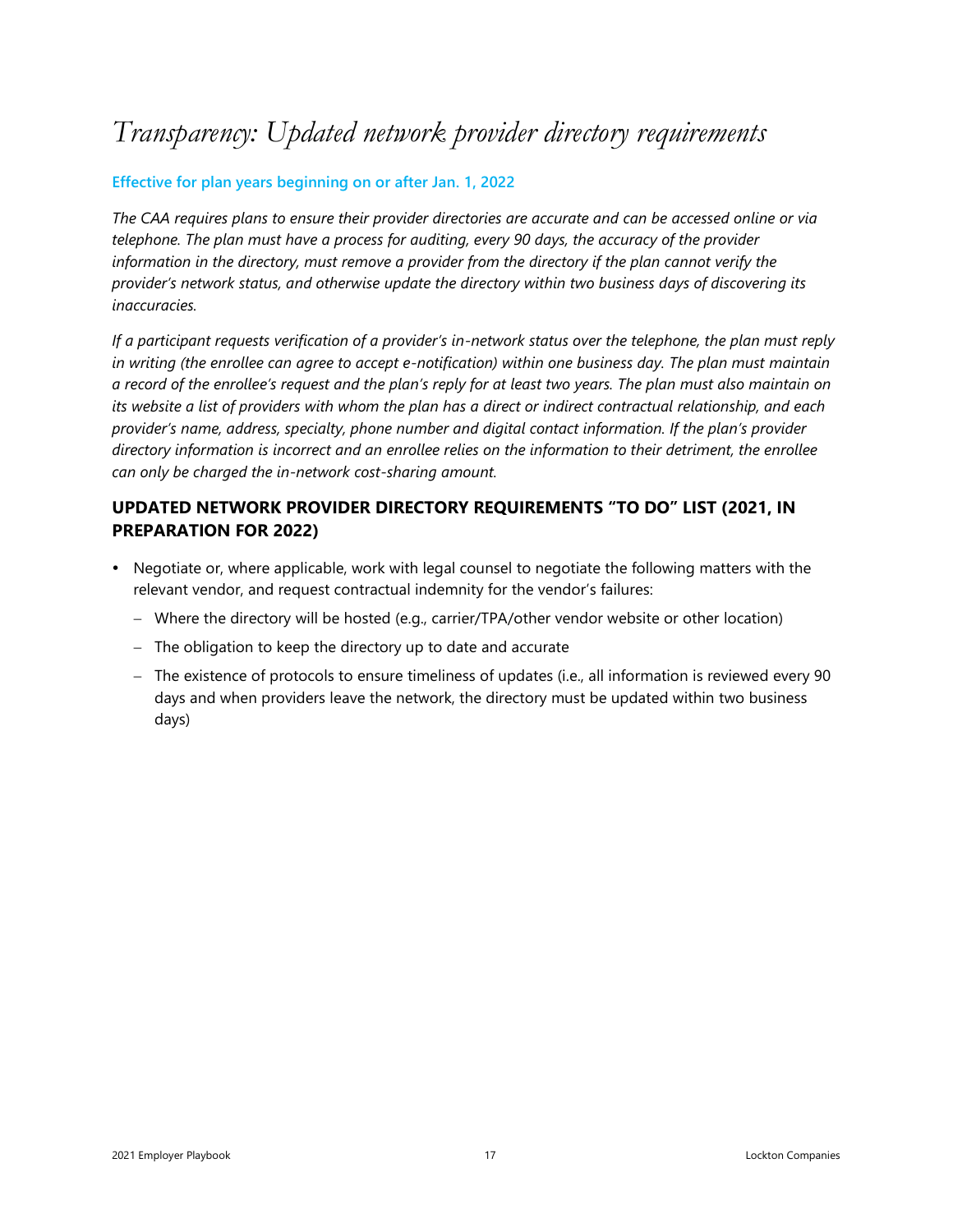### <span id="page-16-0"></span>*Transparency: Updated network provider directory requirements*

#### **Effective for plan years beginning on or after Jan. 1, 2022**

*The CAA requires plans to ensure their provider directories are accurate and can be accessed online or via telephone. The plan must have a process for auditing, every 90 days, the accuracy of the provider information in the directory, must remove a provider from the directory if the plan cannot verify the provider's network status, and otherwise update the directory within two business days of discovering its inaccuracies.* 

*If a participant requests verification of a provider's in-network status over the telephone, the plan must reply in writing (the enrollee can agree to accept e-notification) within one business day. The plan must maintain a record of the enrollee's request and the plan's reply for at least two years. The plan must also maintain on its website a list of providers with whom the plan has a direct or indirect contractual relationship, and each provider's name, address, specialty, phone number and digital contact information. If the plan's provider directory information is incorrect and an enrollee relies on the information to their detriment, the enrollee can only be charged the in-network cost-sharing amount.*

#### **UPDATED NETWORK PROVIDER DIRECTORY REQUIREMENTS "TO DO" LIST (2021, IN PREPARATION FOR 2022)**

- Negotiate or, where applicable, work with legal counsel to negotiate the following matters with the relevant vendor, and request contractual indemnity for the vendor's failures:
	- − Where the directory will be hosted (e.g., carrier/TPA/other vendor website or other location)
	- − The obligation to keep the directory up to date and accurate
	- − The existence of protocols to ensure timeliness of updates (i.e., all information is reviewed every 90 days and when providers leave the network, the directory must be updated within two business days)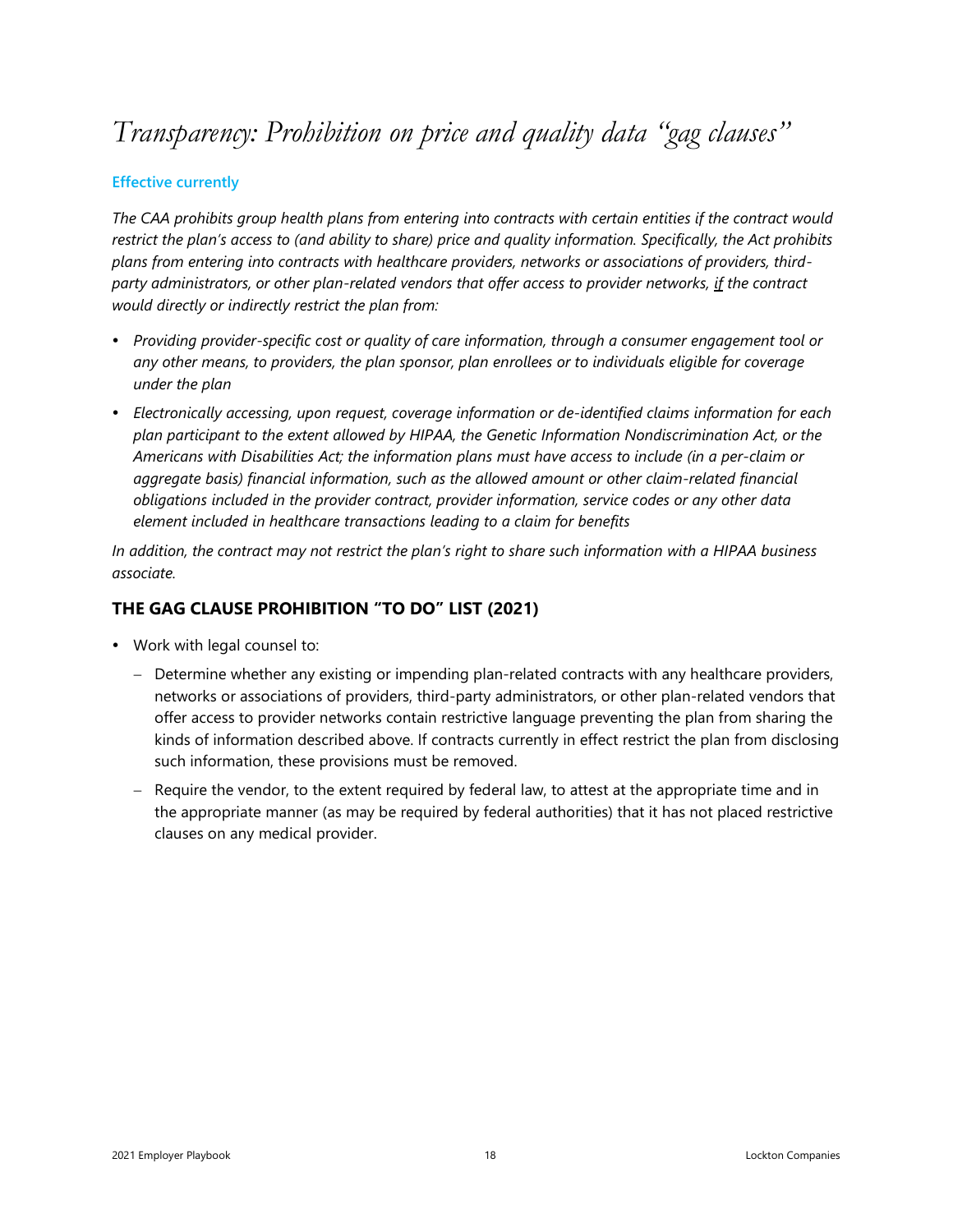### <span id="page-17-0"></span>*Transparency: Prohibition on price and quality data "gag clauses"*

#### **Effective currently**

*The CAA prohibits group health plans from entering into contracts with certain entities if the contract would restrict the plan's access to (and ability to share) price and quality information. Specifically, the Act prohibits plans from entering into contracts with healthcare providers, networks or associations of providers, thirdparty administrators, or other plan-related vendors that offer access to provider networks, if the contract would directly or indirectly restrict the plan from:*

- *Providing provider-specific cost or quality of care information, through a consumer engagement tool or any other means, to providers, the plan sponsor, plan enrollees or to individuals eligible for coverage under the plan*
- *Electronically accessing, upon request, coverage information or de-identified claims information for each plan participant to the extent allowed by HIPAA, the Genetic Information Nondiscrimination Act, or the Americans with Disabilities Act; the information plans must have access to include (in a per-claim or aggregate basis) financial information, such as the allowed amount or other claim-related financial obligations included in the provider contract, provider information, service codes or any other data element included in healthcare transactions leading to a claim for benefits*

*In addition, the contract may not restrict the plan's right to share such information with a HIPAA business associate.*

#### **THE GAG CLAUSE PROHIBITION "TO DO" LIST (2021)**

- Work with legal counsel to:
	- − Determine whether any existing or impending plan-related contracts with any healthcare providers, networks or associations of providers, third-party administrators, or other plan-related vendors that offer access to provider networks contain restrictive language preventing the plan from sharing the kinds of information described above. If contracts currently in effect restrict the plan from disclosing such information, these provisions must be removed.
	- − Require the vendor, to the extent required by federal law, to attest at the appropriate time and in the appropriate manner (as may be required by federal authorities) that it has not placed restrictive clauses on any medical provider.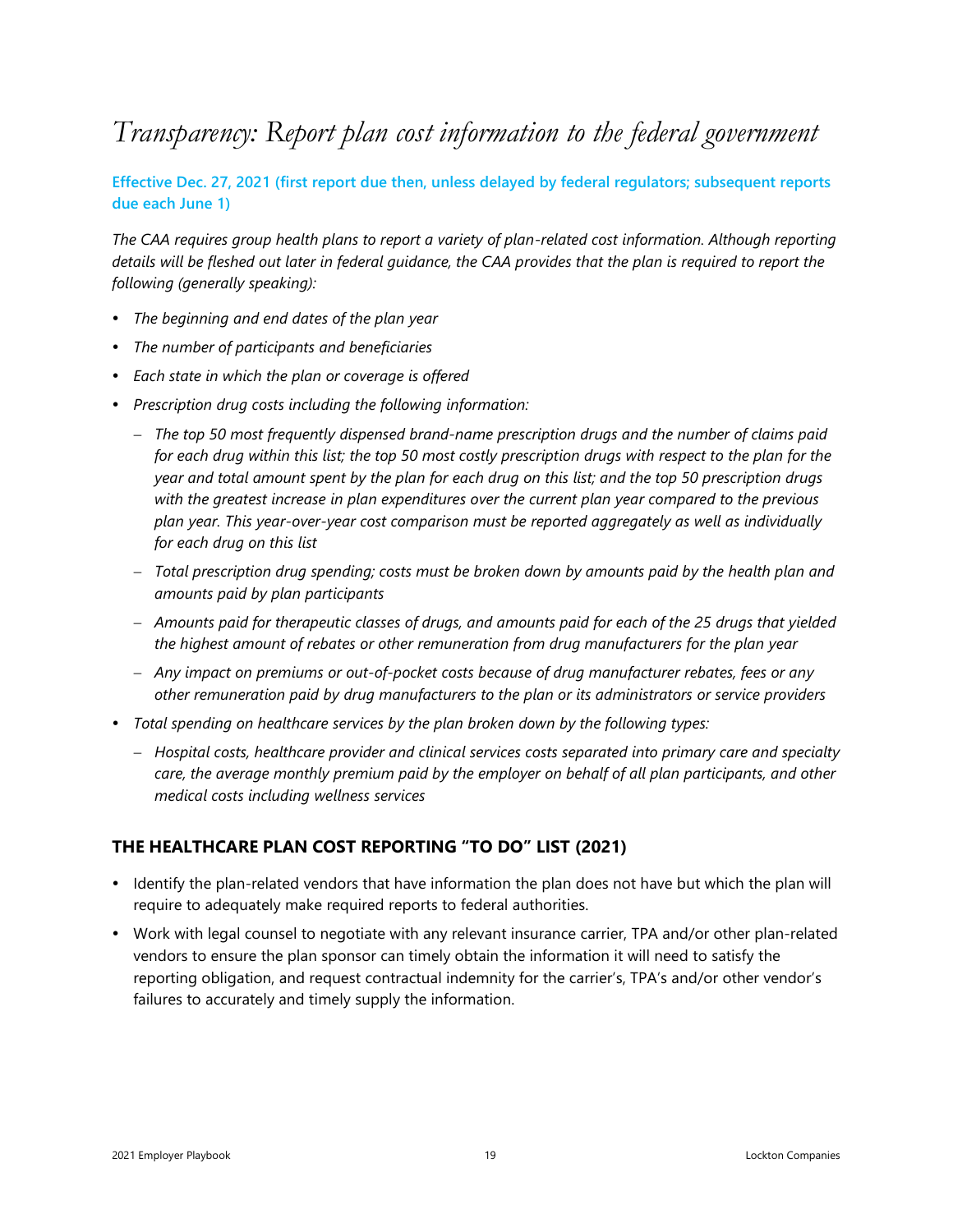### <span id="page-18-0"></span>*Transparency: Report plan cost information to the federal government*

**Effective Dec. 27, 2021 (first report due then, unless delayed by federal regulators; subsequent reports due each June 1)**

*The CAA requires group health plans to report a variety of plan-related cost information. Although reporting details will be fleshed out later in federal guidance, the CAA provides that the plan is required to report the following (generally speaking):* 

- *The beginning and end dates of the plan year*
- *The number of participants and beneficiaries*
- *Each state in which the plan or coverage is offered*
- *Prescription drug costs including the following information:*
	- − *The top 50 most frequently dispensed brand-name prescription drugs and the number of claims paid* for each drug within this list; the top 50 most costly prescription drugs with respect to the plan for the year and total amount spent by the plan for each drug on this list; and the top 50 prescription drugs *with the greatest increase in plan expenditures over the current plan year compared to the previous plan year. This year-over-year cost comparison must be reported aggregately as well as individually for each drug on this list*
	- − *Total prescription drug spending; costs must be broken down by amounts paid by the health plan and amounts paid by plan participants*
	- Amounts paid for therapeutic classes of drugs, and amounts paid for each of the 25 drugs that yielded *the highest amount of rebates or other remuneration from drug manufacturers for the plan year*
	- − *Any impact on premiums or out-of-pocket costs because of drug manufacturer rebates, fees or any other remuneration paid by drug manufacturers to the plan or its administrators or service providers*
- *Total spending on healthcare services by the plan broken down by the following types:*
	- − *Hospital costs, healthcare provider and clinical services costs separated into primary care and specialty care, the average monthly premium paid by the employer on behalf of all plan participants, and other medical costs including wellness services*

#### **THE HEALTHCARE PLAN COST REPORTING "TO DO" LIST (2021)**

- Identify the plan-related vendors that have information the plan does not have but which the plan will require to adequately make required reports to federal authorities.
- Work with legal counsel to negotiate with any relevant insurance carrier, TPA and/or other plan-related vendors to ensure the plan sponsor can timely obtain the information it will need to satisfy the reporting obligation, and request contractual indemnity for the carrier's, TPA's and/or other vendor's failures to accurately and timely supply the information.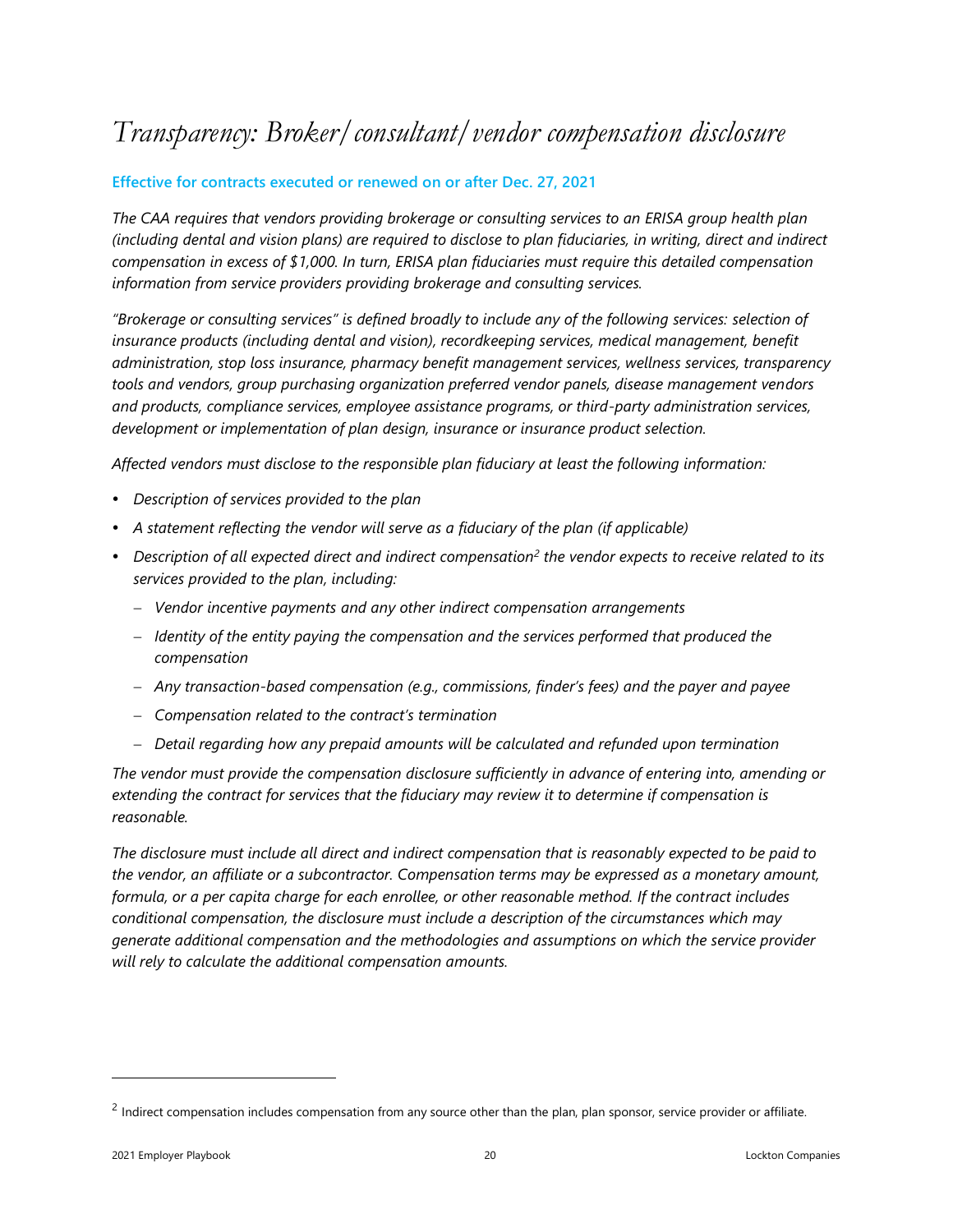### <span id="page-19-0"></span>*Transparency: Broker/consultant/vendor compensation disclosure*

#### **Effective for contracts executed or renewed on or after Dec. 27, 2021**

*The CAA requires that vendors providing brokerage or consulting services to an ERISA group health plan (including dental and vision plans) are required to disclose to plan fiduciaries, in writing, direct and indirect compensation in excess of \$1,000. In turn, ERISA plan fiduciaries must require this detailed compensation information from service providers providing brokerage and consulting services.* 

*"Brokerage or consulting services" is defined broadly to include any of the following services: selection of insurance products (including dental and vision), recordkeeping services, medical management, benefit administration, stop loss insurance, pharmacy benefit management services, wellness services, transparency tools and vendors, group purchasing organization preferred vendor panels, disease management vendors and products, compliance services, employee assistance programs, or third-party administration services, development or implementation of plan design, insurance or insurance product selection.*

*Affected vendors must disclose to the responsible plan fiduciary at least the following information:*

- *Description of services provided to the plan*
- *A statement reflecting the vendor will serve as a fiduciary of the plan (if applicable)*
- Description of all expected direct and indirect compensation<sup>2</sup> the vendor expects to receive related to its *services provided to the plan, including:*
	- − *Vendor incentive payments and any other indirect compensation arrangements*
	- − *Identity of the entity paying the compensation and the services performed that produced the compensation*
	- − *Any transaction-based compensation (e.g., commissions, finder's fees) and the payer and payee*
	- − *Compensation related to the contract's termination*
	- − *Detail regarding how any prepaid amounts will be calculated and refunded upon termination*

*The vendor must provide the compensation disclosure sufficiently in advance of entering into, amending or extending the contract for services that the fiduciary may review it to determine if compensation is reasonable.* 

*The disclosure must include all direct and indirect compensation that is reasonably expected to be paid to the vendor, an affiliate or a subcontractor. Compensation terms may be expressed as a monetary amount, formula, or a per capita charge for each enrollee, or other reasonable method. If the contract includes conditional compensation, the disclosure must include a description of the circumstances which may generate additional compensation and the methodologies and assumptions on which the service provider will rely to calculate the additional compensation amounts.* 

 $^2$  Indirect compensation includes compensation from any source other than the plan, plan sponsor, service provider or affiliate.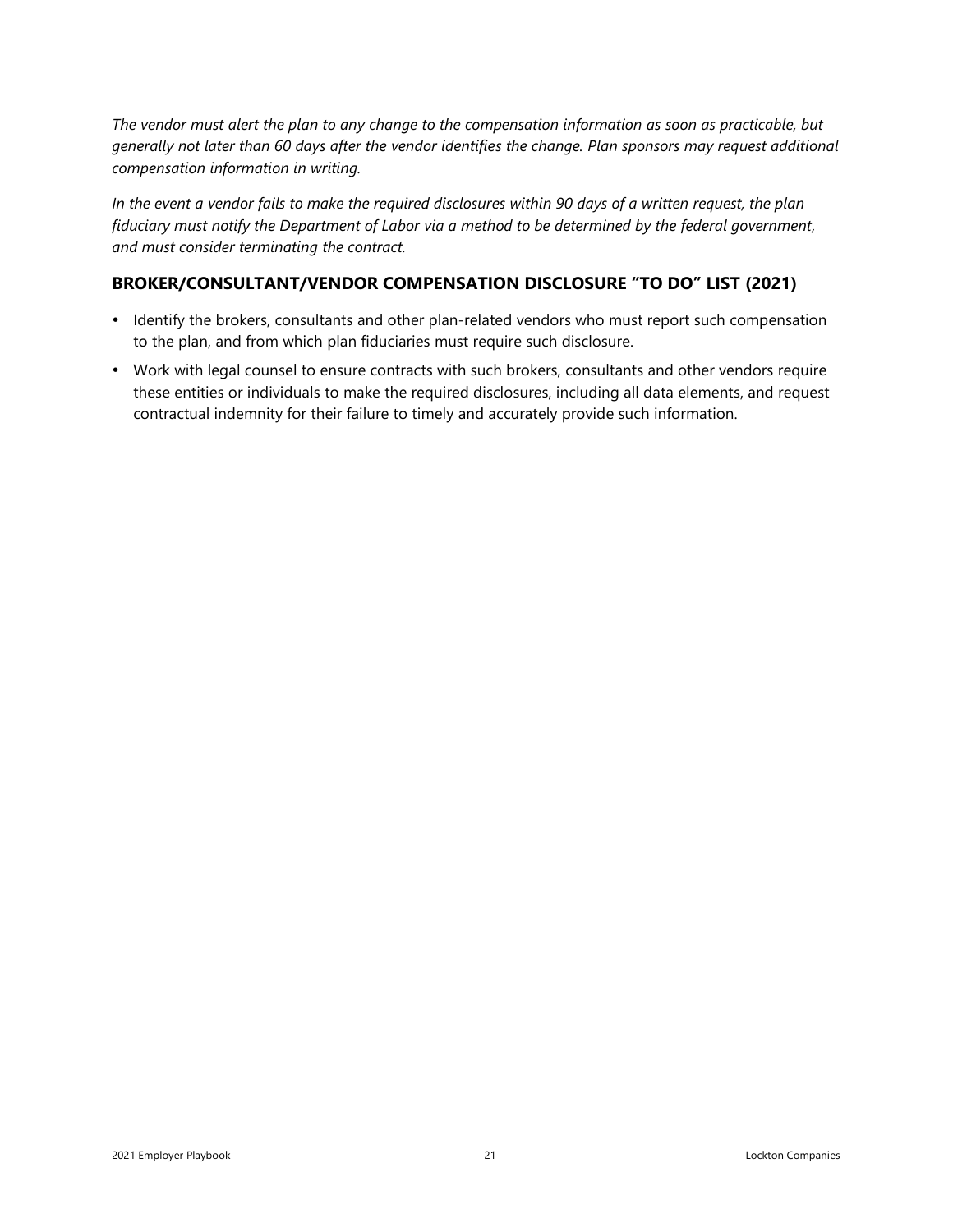*The vendor must alert the plan to any change to the compensation information as soon as practicable, but generally not later than 60 days after the vendor identifies the change. Plan sponsors may request additional compensation information in writing.* 

*In the event a vendor fails to make the required disclosures within 90 days of a written request, the plan fiduciary must notify the Department of Labor via a method to be determined by the federal government, and must consider terminating the contract.* 

#### **BROKER/CONSULTANT/VENDOR COMPENSATION DISCLOSURE "TO DO" LIST (2021)**

- Identify the brokers, consultants and other plan-related vendors who must report such compensation to the plan, and from which plan fiduciaries must require such disclosure.
- Work with legal counsel to ensure contracts with such brokers, consultants and other vendors require these entities or individuals to make the required disclosures, including all data elements, and request contractual indemnity for their failure to timely and accurately provide such information.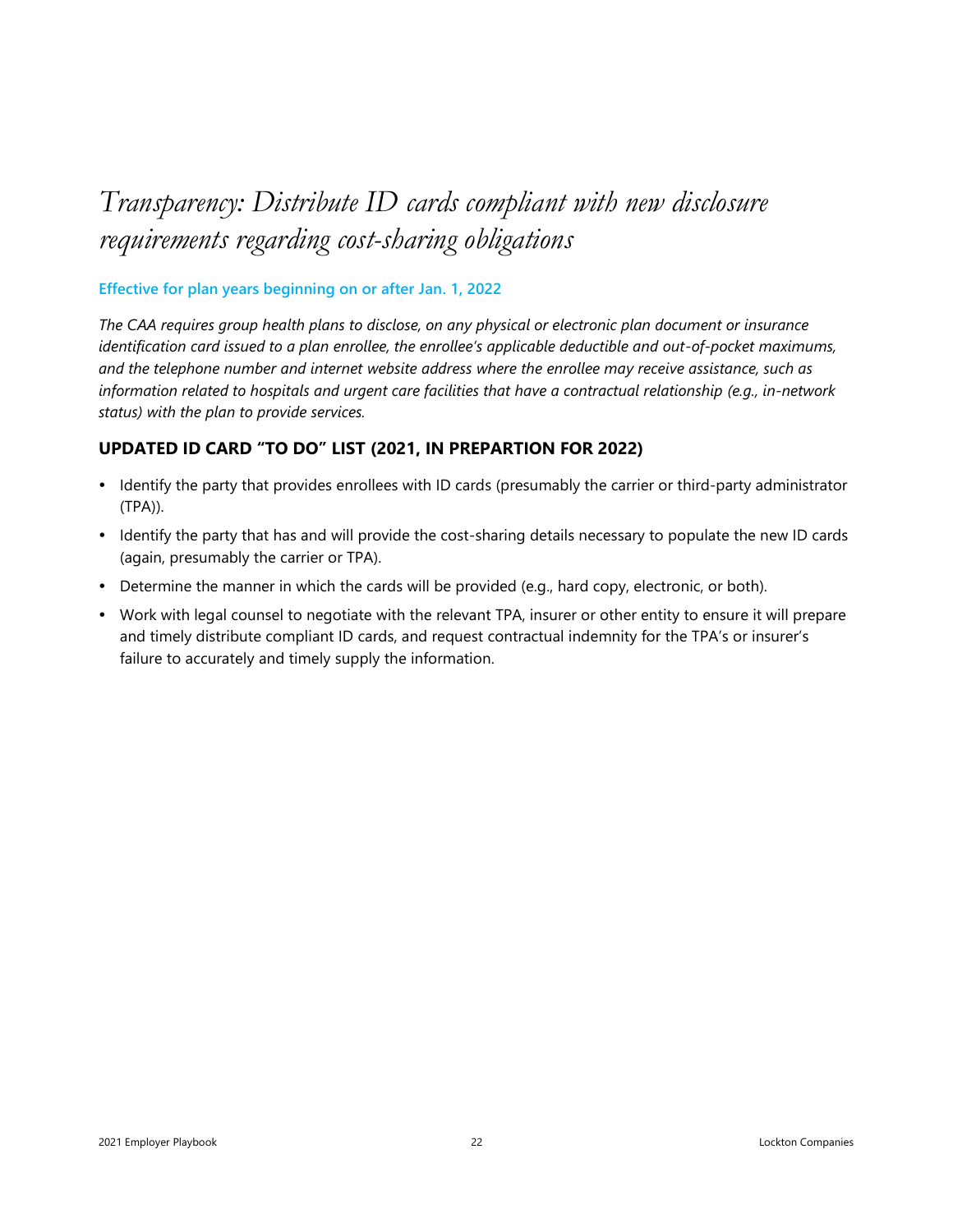## <span id="page-21-0"></span>*Transparency: Distribute ID cards compliant with new disclosure requirements regarding cost-sharing obligations*

#### **Effective for plan years beginning on or after Jan. 1, 2022**

*The CAA requires group health plans to disclose, on any physical or electronic plan document or insurance identification card issued to a plan enrollee, the enrollee's applicable deductible and out-of-pocket maximums, and the telephone number and internet website address where the enrollee may receive assistance, such as information related to hospitals and urgent care facilities that have a contractual relationship (e.g., in-network status) with the plan to provide services.* 

#### **UPDATED ID CARD "TO DO" LIST (2021, IN PREPARTION FOR 2022)**

- Identify the party that provides enrollees with ID cards (presumably the carrier or third-party administrator (TPA)).
- Identify the party that has and will provide the cost-sharing details necessary to populate the new ID cards (again, presumably the carrier or TPA).
- Determine the manner in which the cards will be provided (e.g., hard copy, electronic, or both).
- Work with legal counsel to negotiate with the relevant TPA, insurer or other entity to ensure it will prepare and timely distribute compliant ID cards, and request contractual indemnity for the TPA's or insurer's failure to accurately and timely supply the information.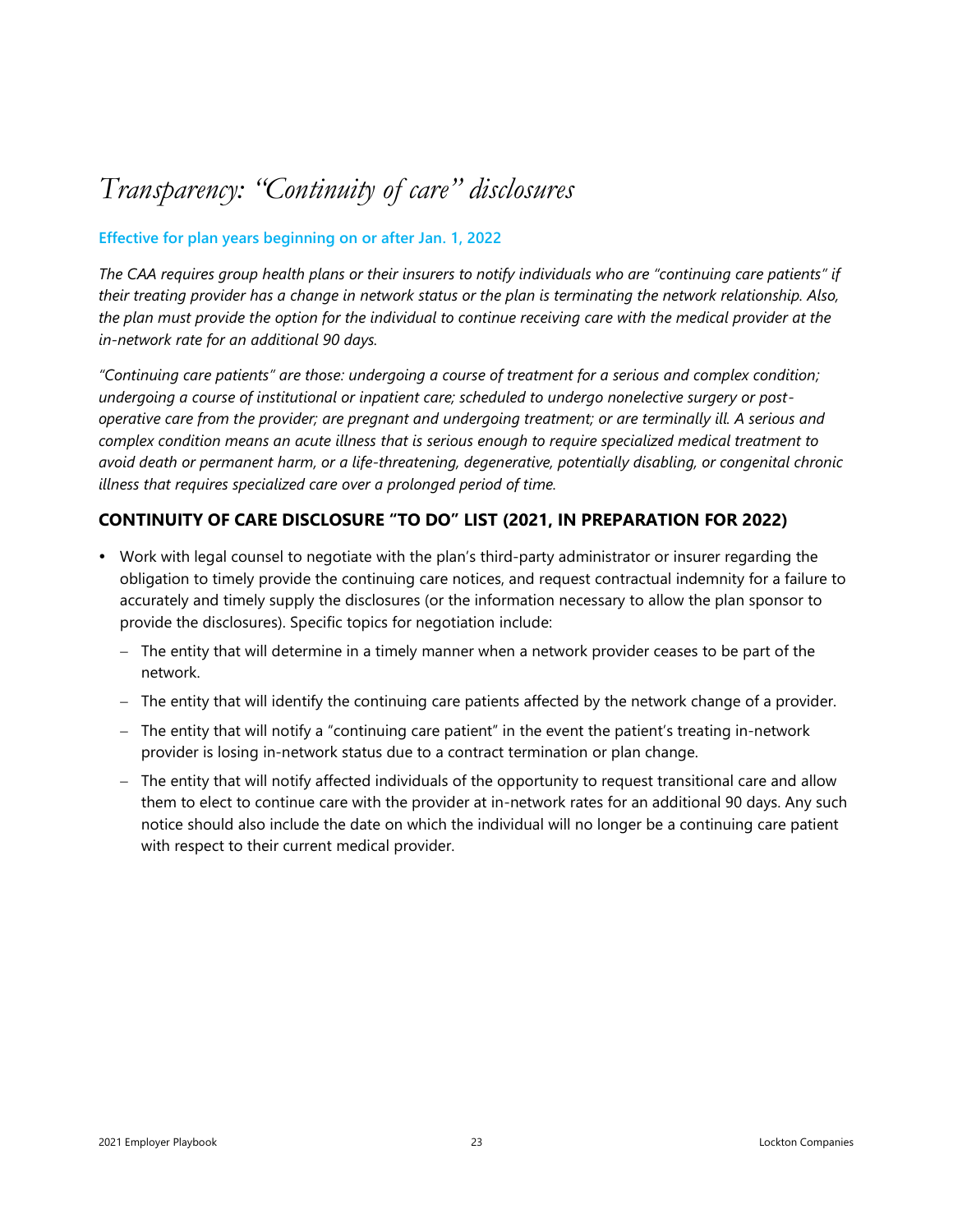### <span id="page-22-0"></span>*Transparency: "Continuity of care" disclosures*

#### **Effective for plan years beginning on or after Jan. 1, 2022**

*The CAA requires group health plans or their insurers to notify individuals who are "continuing care patients" if their treating provider has a change in network status or the plan is terminating the network relationship. Also, the plan must provide the option for the individual to continue receiving care with the medical provider at the in-network rate for an additional 90 days.*

*"Continuing care patients" are those: undergoing a course of treatment for a serious and complex condition; undergoing a course of institutional or inpatient care; scheduled to undergo nonelective surgery or postoperative care from the provider; are pregnant and undergoing treatment; or are terminally ill. A serious and complex condition means an acute illness that is serious enough to require specialized medical treatment to avoid death or permanent harm, or a life-threatening, degenerative, potentially disabling, or congenital chronic illness that requires specialized care over a prolonged period of time.*

#### **CONTINUITY OF CARE DISCLOSURE "TO DO" LIST (2021, IN PREPARATION FOR 2022)**

- Work with legal counsel to negotiate with the plan's third-party administrator or insurer regarding the obligation to timely provide the continuing care notices, and request contractual indemnity for a failure to accurately and timely supply the disclosures (or the information necessary to allow the plan sponsor to provide the disclosures). Specific topics for negotiation include:
	- − The entity that will determine in a timely manner when a network provider ceases to be part of the network.
	- − The entity that will identify the continuing care patients affected by the network change of a provider.
	- − The entity that will notify a "continuing care patient" in the event the patient's treating in-network provider is losing in-network status due to a contract termination or plan change.
	- − The entity that will notify affected individuals of the opportunity to request transitional care and allow them to elect to continue care with the provider at in-network rates for an additional 90 days. Any such notice should also include the date on which the individual will no longer be a continuing care patient with respect to their current medical provider.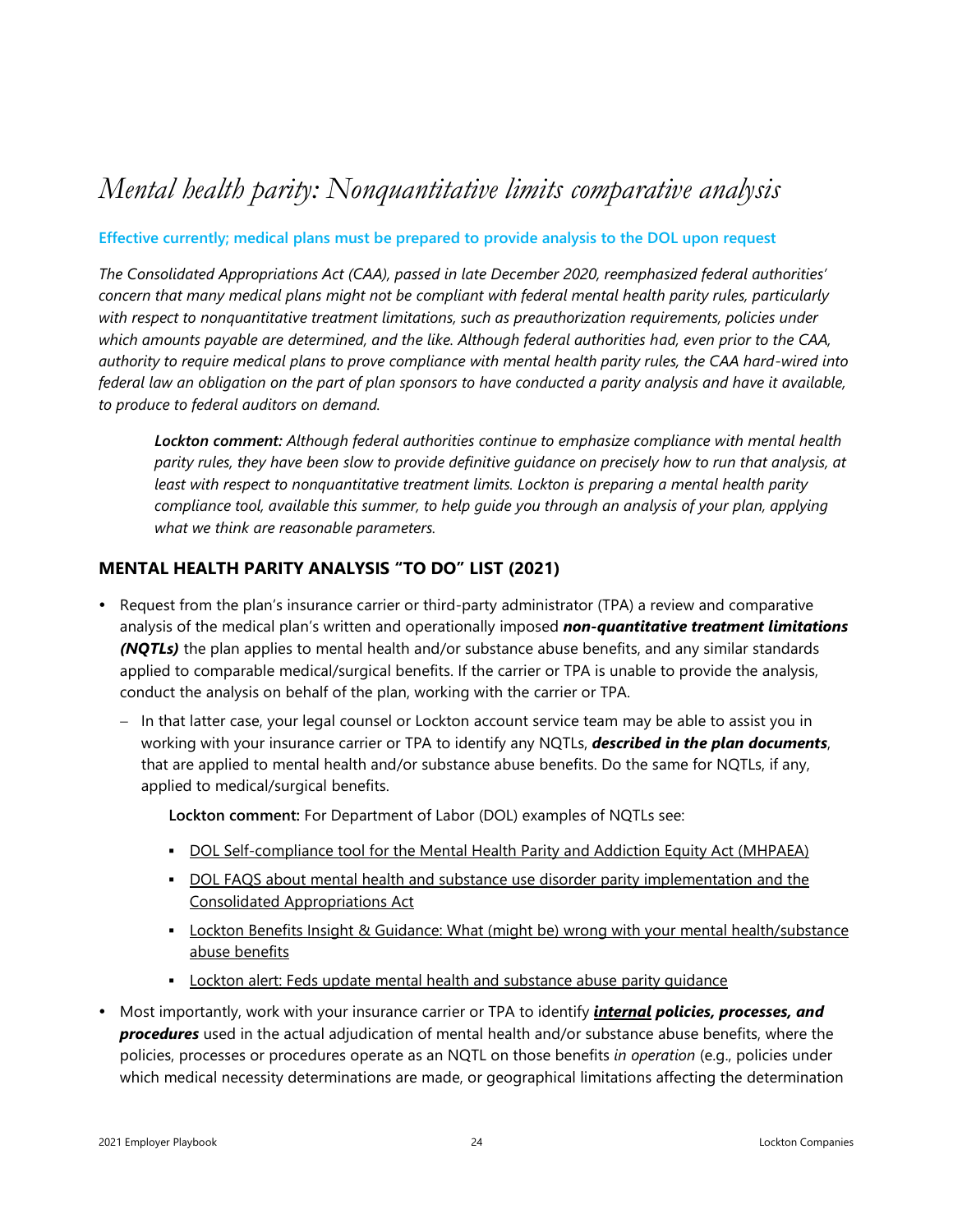### <span id="page-23-0"></span>*Mental health parity: Nonquantitative limits comparative analysis*

#### **Effective currently; medical plans must be prepared to provide analysis to the DOL upon request**

*The Consolidated Appropriations Act (CAA), passed in late December 2020, reemphasized federal authorities' concern that many medical plans might not be compliant with federal mental health parity rules, particularly with respect to nonquantitative treatment limitations, such as preauthorization requirements, policies under which amounts payable are determined, and the like. Although federal authorities had, even prior to the CAA, authority to require medical plans to prove compliance with mental health parity rules, the CAA hard-wired into federal law an obligation on the part of plan sponsors to have conducted a parity analysis and have it available, to produce to federal auditors on demand.* 

*Lockton comment: Although federal authorities continue to emphasize compliance with mental health parity rules, they have been slow to provide definitive guidance on precisely how to run that analysis, at least with respect to nonquantitative treatment limits. Lockton is preparing a mental health parity compliance tool, available this summer, to help guide you through an analysis of your plan, applying what we think are reasonable parameters.* 

#### **MENTAL HEALTH PARITY ANALYSIS "TO DO" LIST (2021)**

- Request from the plan's insurance carrier or third-party administrator (TPA) a review and comparative analysis of the medical plan's written and operationally imposed *non-quantitative treatment limitations (NQTLs)* the plan applies to mental health and/or substance abuse benefits, and any similar standards applied to comparable medical/surgical benefits. If the carrier or TPA is unable to provide the analysis, conduct the analysis on behalf of the plan, working with the carrier or TPA.
	- − In that latter case, your legal counsel or Lockton account service team may be able to assist you in working with your insurance carrier or TPA to identify any NQTLs, *described in the plan documents*, that are applied to mental health and/or substance abuse benefits. Do the same for NQTLs, if any, applied to medical/surgical benefits.

**Lockton comment:** For Department of Labor (DOL) examples of NQTLs see:

- **DOL [Self-compliance](https://www.dol.gov/sites/dolgov/files/EBSA/laws-and-regulations/laws/mental-health-parity/self-compliance-tool.pdf) tool for the Mental Health Parity and Addiction Equity Act (MHPAEA)**
- **DOL FAQS about mental health and substance use disorder parity [implementation](https://www.dol.gov/sites/dolgov/files/EBSA/about-ebsa/our-activities/resource-center/faqs/aca-part-45.pdf) and the** Consolidated [Appropriations](https://www.dol.gov/sites/dolgov/files/EBSA/about-ebsa/our-activities/resource-center/faqs/aca-part-45.pdf) Act
- **ELOCKTON Benefits Insight & Guidance: What (might be) wrong with your mental [health/substance](http://s3-us-west-2.amazonaws.com/lockton-corporate-website/Compliance-Alerts/What_Might_Be_Wrong_With_Your_Mental_Health_Substance_Abuse_Benefits.pdf)** abuse [benefits](http://s3-us-west-2.amazonaws.com/lockton-corporate-website/Compliance-Alerts/What_Might_Be_Wrong_With_Your_Mental_Health_Substance_Abuse_Benefits.pdf)
- **EXECT** Lockton alert: Feds update mental health and [substance](http://s3-us-west-2.amazonaws.com/lockton-corporate-website/Compliance-Alerts/05022018_Mental_Health.pdf) abuse parity quidance
- Most importantly, work with your insurance carrier or TPA to identify *internal policies, processes, and procedures* used in the actual adjudication of mental health and/or substance abuse benefits, where the policies, processes or procedures operate as an NQTL on those benefits *in operation* (e.g., policies under which medical necessity determinations are made, or geographical limitations affecting the determination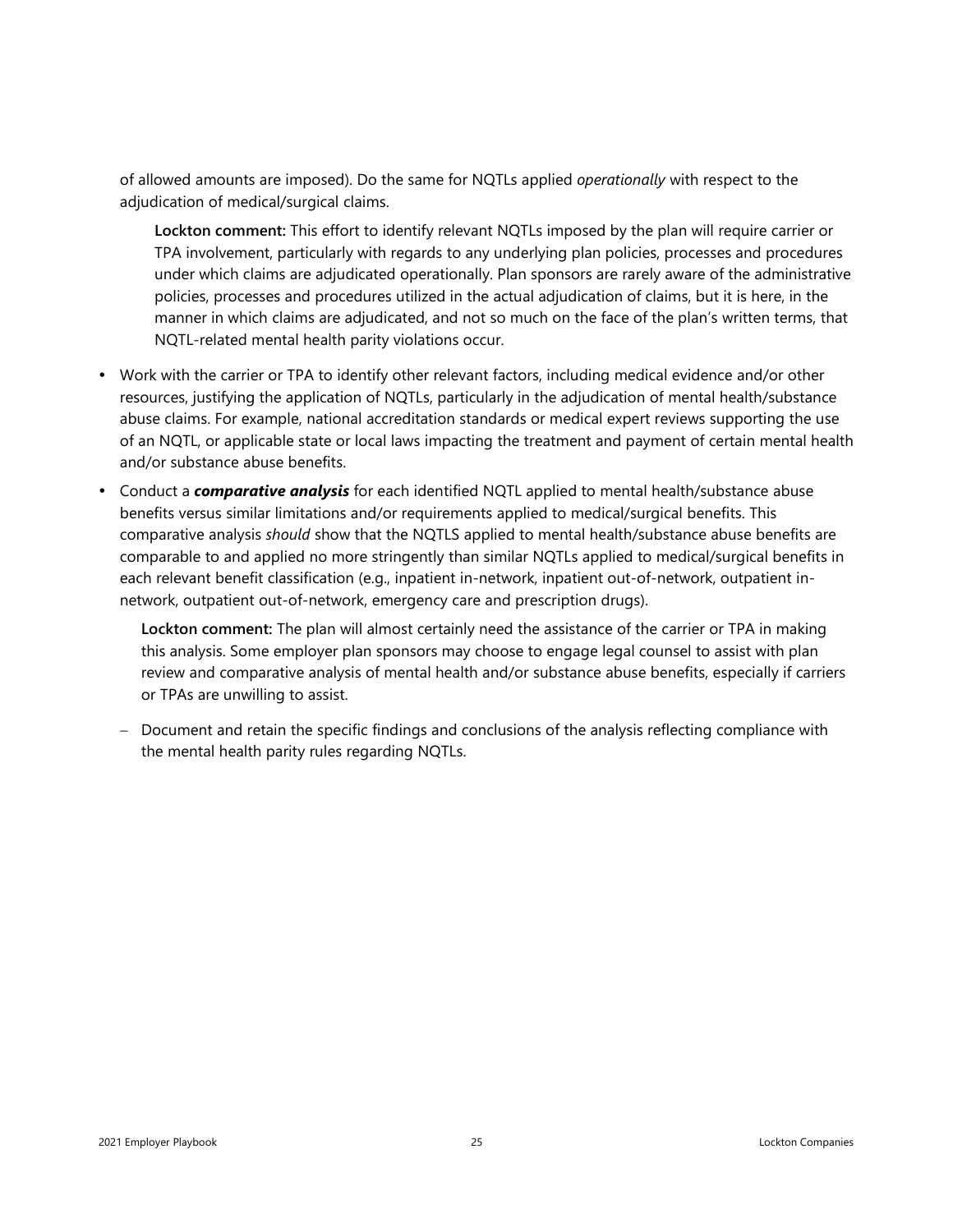of allowed amounts are imposed). Do the same for NQTLs applied *operationally* with respect to the adjudication of medical/surgical claims.

**Lockton comment:** This effort to identify relevant NQTLs imposed by the plan will require carrier or TPA involvement, particularly with regards to any underlying plan policies, processes and procedures under which claims are adjudicated operationally. Plan sponsors are rarely aware of the administrative policies, processes and procedures utilized in the actual adjudication of claims, but it is here, in the manner in which claims are adjudicated, and not so much on the face of the plan's written terms, that NQTL-related mental health parity violations occur.

- Work with the carrier or TPA to identify other relevant factors, including medical evidence and/or other resources, justifying the application of NQTLs, particularly in the adjudication of mental health/substance abuse claims. For example, national accreditation standards or medical expert reviews supporting the use of an NQTL, or applicable state or local laws impacting the treatment and payment of certain mental health and/or substance abuse benefits.
- Conduct a *comparative analysis* for each identified NQTL applied to mental health/substance abuse benefits versus similar limitations and/or requirements applied to medical/surgical benefits. This comparative analysis *should* show that the NQTLS applied to mental health/substance abuse benefits are comparable to and applied no more stringently than similar NQTLs applied to medical/surgical benefits in each relevant benefit classification (e.g., inpatient in-network, inpatient out-of-network, outpatient innetwork, outpatient out-of-network, emergency care and prescription drugs).

**Lockton comment:** The plan will almost certainly need the assistance of the carrier or TPA in making this analysis. Some employer plan sponsors may choose to engage legal counsel to assist with plan review and comparative analysis of mental health and/or substance abuse benefits, especially if carriers or TPAs are unwilling to assist.

− Document and retain the specific findings and conclusions of the analysis reflecting compliance with the mental health parity rules regarding NQTLs.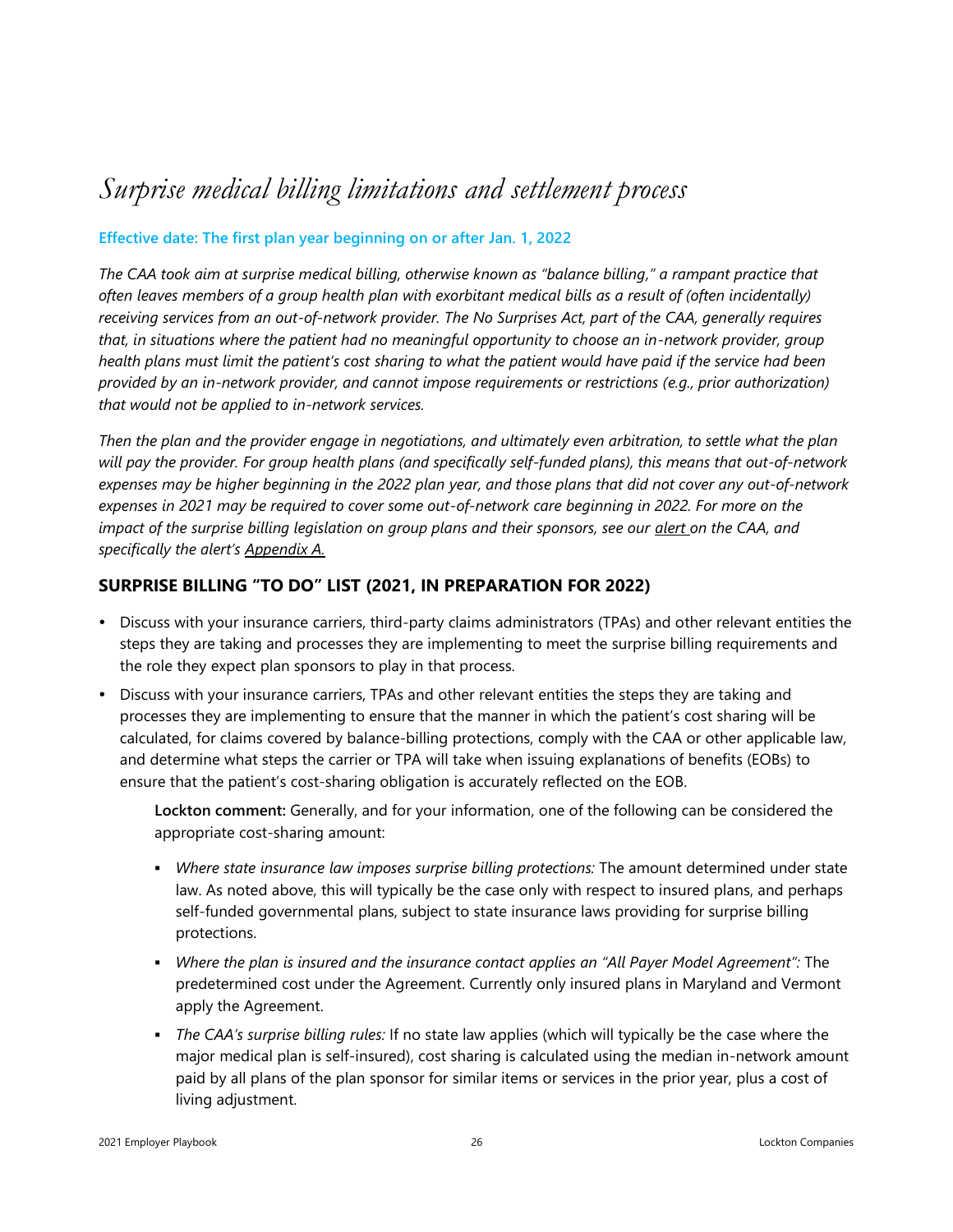### <span id="page-25-0"></span>*Surprise medical billing limitations and settlement process*

#### **Effective date: The first plan year beginning on or after Jan. 1, 2022**

*The CAA took aim at surprise medical billing, otherwise known as "balance billing," a rampant practice that often leaves members of a group health plan with exorbitant medical bills as a result of (often incidentally) receiving services from an out-of-network provider. The No Surprises Act, part of the CAA, generally requires that, in situations where the patient had no meaningful opportunity to choose an in-network provider, group health plans must limit the patient's cost sharing to what the patient would have paid if the service had been provided by an in-network provider, and cannot impose requirements or restrictions (e.g., prior authorization) that would not be applied to in-network services.* 

*Then the plan and the provider engage in negotiations, and ultimately even arbitration, to settle what the plan will pay the provider. For group health plans (and specifically self-funded plans), this means that out-of-network expenses may be higher beginning in the 2022 plan year, and those plans that did not cover any out-of-network expenses in 2021 may be required to cover some out-of-network care beginning in 2022. For more on the impact of the surprise billing legislation on group plans and their sponsors, see our [alert](https://www.lockton.com/insights/post/congresss-covid-19-package-includes-additional-burdens-benefits-for-group-h) on the CAA, and specifically the alert's [Appendix A.](https://lockbox.lockton.com/m/9d8d2570f096c78/original/01062020-COVID-package-and-omnibus-spending-bill-Appendix-A-FINAL.pdf)*

#### **SURPRISE BILLING "TO DO" LIST (2021, IN PREPARATION FOR 2022)**

- Discuss with your insurance carriers, third-party claims administrators (TPAs) and other relevant entities the steps they are taking and processes they are implementing to meet the surprise billing requirements and the role they expect plan sponsors to play in that process.
- Discuss with your insurance carriers, TPAs and other relevant entities the steps they are taking and processes they are implementing to ensure that the manner in which the patient's cost sharing will be calculated, for claims covered by balance-billing protections, comply with the CAA or other applicable law, and determine what steps the carrier or TPA will take when issuing explanations of benefits (EOBs) to ensure that the patient's cost-sharing obligation is accurately reflected on the EOB.

**Lockton comment:** Generally, and for your information, one of the following can be considered the appropriate cost-sharing amount:

- *Where state insurance law imposes surprise billing protections:* The amount determined under state law. As noted above, this will typically be the case only with respect to insured plans, and perhaps self-funded governmental plans, subject to state insurance laws providing for surprise billing protections.
- *Where the plan is insured and the insurance contact applies an "All Payer Model Agreement":* The predetermined cost under the Agreement. Currently only insured plans in Maryland and Vermont apply the Agreement.
- *The CAA's surprise billing rules:* If no state law applies (which will typically be the case where the major medical plan is self-insured), cost sharing is calculated using the median in-network amount paid by all plans of the plan sponsor for similar items or services in the prior year, plus a cost of living adjustment.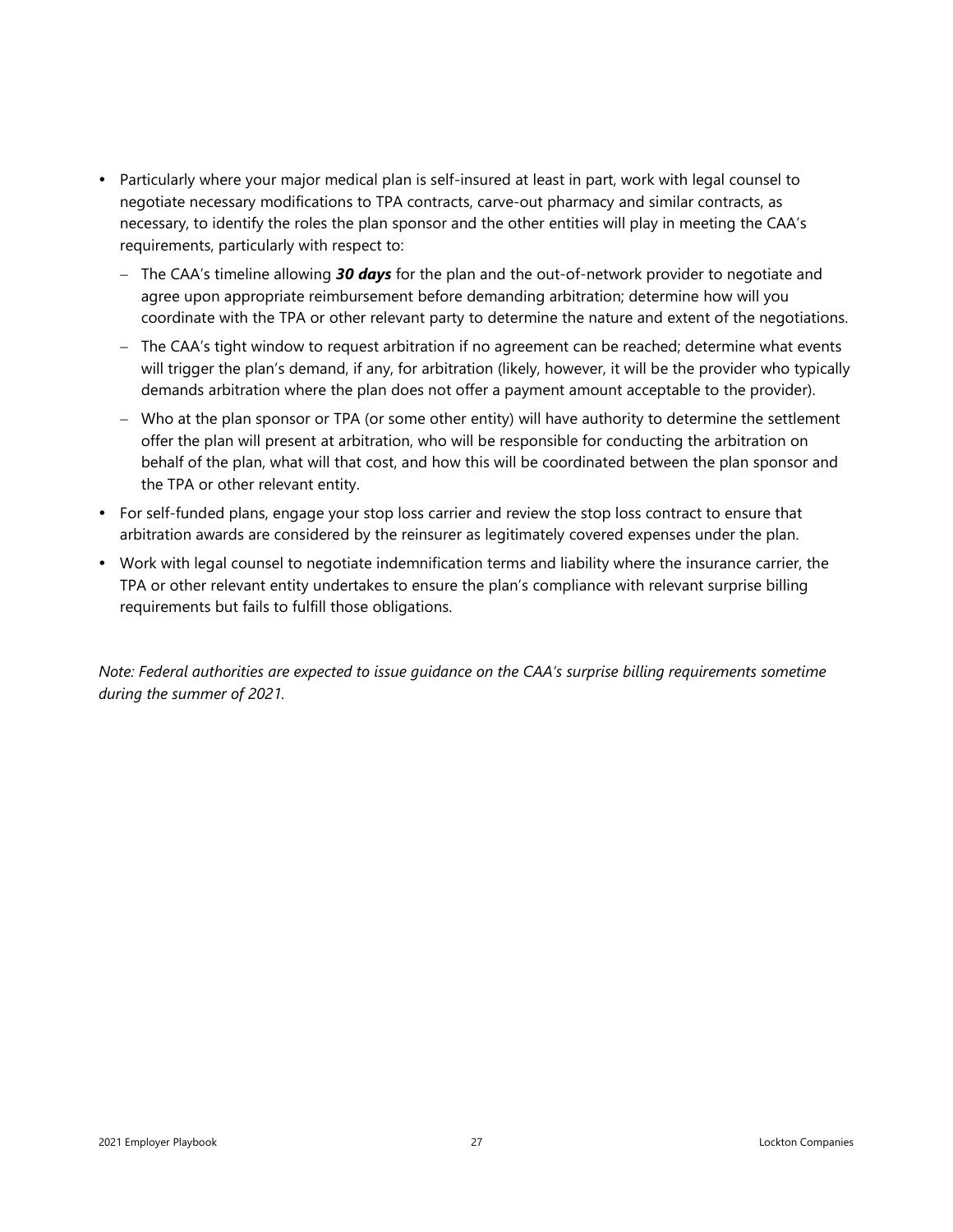- Particularly where your major medical plan is self-insured at least in part, work with legal counsel to negotiate necessary modifications to TPA contracts, carve-out pharmacy and similar contracts, as necessary, to identify the roles the plan sponsor and the other entities will play in meeting the CAA's requirements, particularly with respect to:
	- − The CAA's timeline allowing *30 days* for the plan and the out-of-network provider to negotiate and agree upon appropriate reimbursement before demanding arbitration; determine how will you coordinate with the TPA or other relevant party to determine the nature and extent of the negotiations.
	- − The CAA's tight window to request arbitration if no agreement can be reached; determine what events will trigger the plan's demand, if any, for arbitration (likely, however, it will be the provider who typically demands arbitration where the plan does not offer a payment amount acceptable to the provider).
	- − Who at the plan sponsor or TPA (or some other entity) will have authority to determine the settlement offer the plan will present at arbitration, who will be responsible for conducting the arbitration on behalf of the plan, what will that cost, and how this will be coordinated between the plan sponsor and the TPA or other relevant entity.
- For self-funded plans, engage your stop loss carrier and review the stop loss contract to ensure that arbitration awards are considered by the reinsurer as legitimately covered expenses under the plan.
- Work with legal counsel to negotiate indemnification terms and liability where the insurance carrier, the TPA or other relevant entity undertakes to ensure the plan's compliance with relevant surprise billing requirements but fails to fulfill those obligations.

*Note: Federal authorities are expected to issue guidance on the CAA's surprise billing requirements sometime during the summer of 2021.*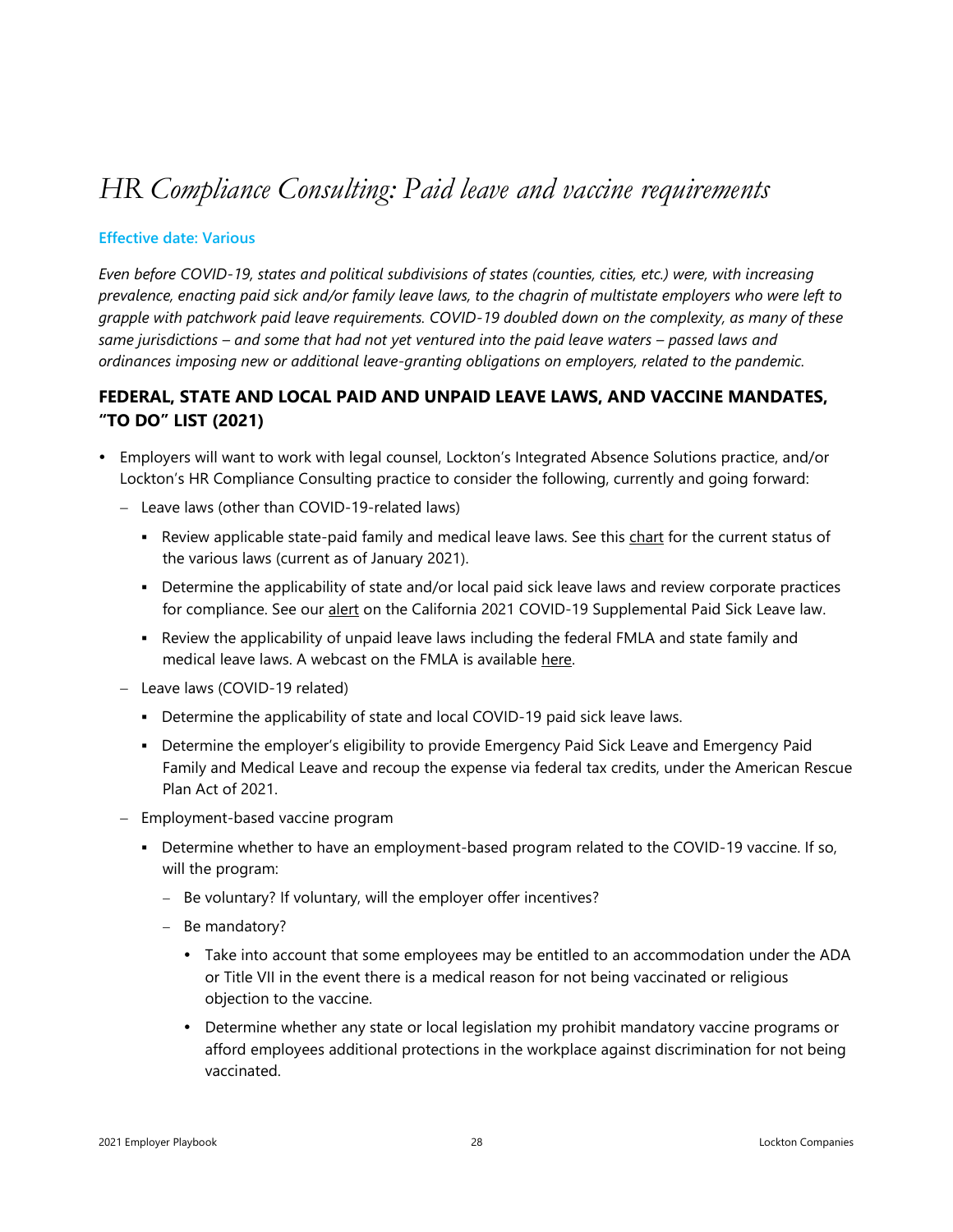### <span id="page-27-0"></span>*HR Compliance Consulting: Paid leave and vaccine requirements*

#### **Effective date: Various**

*Even before COVID-19, states and political subdivisions of states (counties, cities, etc.) were, with increasing prevalence, enacting paid sick and/or family leave laws, to the chagrin of multistate employers who were left to grapple with patchwork paid leave requirements. COVID-19 doubled down on the complexity, as many of these same jurisdictions – and some that had not yet ventured into the paid leave waters – passed laws and ordinances imposing new or additional leave-granting obligations on employers, related to the pandemic.* 

#### **FEDERAL, STATE AND LOCAL PAID AND UNPAID LEAVE LAWS, AND VACCINE MANDATES, "TO DO" LIST (2021)**

- Employers will want to work with legal counsel, Lockton's Integrated Absence Solutions practice, and/or Lockton's HR Compliance Consulting practice to consider the following, currently and going forward:
	- − Leave laws (other than COVID-19-related laws)
		- **EXECT** Review applicable state-paid family and medical leave laws. See this [chart](http://s3-us-west-2.amazonaws.com/lockton-corporate-website/Compliance-Alerts/2021_State_paid_leave_chart.pdf) for the current status of the various laws (current as of January 2021).
		- **•** Determine the applicability of state and/or local paid sick leave laws and review corporate practices for compliance. See our [alert](https://www.lockton.com/insights/post/time-to-rewind-as-california-enacts-retroactive-supplemental-paid-sick-leav) on the California 2021 COVID-19 Supplemental Paid Sick Leave law.
		- Review the applicability of unpaid leave laws including the federal FMLA and state family and medical leave laws. A webcast on the FMLA is available [here.](http://s3-us-west-2.amazonaws.com/lockton-corporate-website/Compliance-Alerts/20210217_REPLAY_-_FMLA_A_refresher_on_fundamentals.pdf)
	- − Leave laws (COVID-19 related)
		- **•** Determine the applicability of state and local COVID-19 paid sick leave laws.
		- **Determine the employer's eligibility to provide Emergency Paid Sick Leave and Emergency Paid** Family and Medical Leave and recoup the expense via federal tax credits, under the American Rescue Plan Act of 2021.
	- − Employment-based vaccine program
		- **•** Determine whether to have an employment-based program related to the COVID-19 vaccine. If so, will the program:
			- − Be voluntary? If voluntary, will the employer offer incentives?
			- − Be mandatory?
				- Take into account that some employees may be entitled to an accommodation under the ADA or Title VII in the event there is a medical reason for not being vaccinated or religious objection to the vaccine.
				- Determine whether any state or local legislation my prohibit mandatory vaccine programs or afford employees additional protections in the workplace against discrimination for not being vaccinated.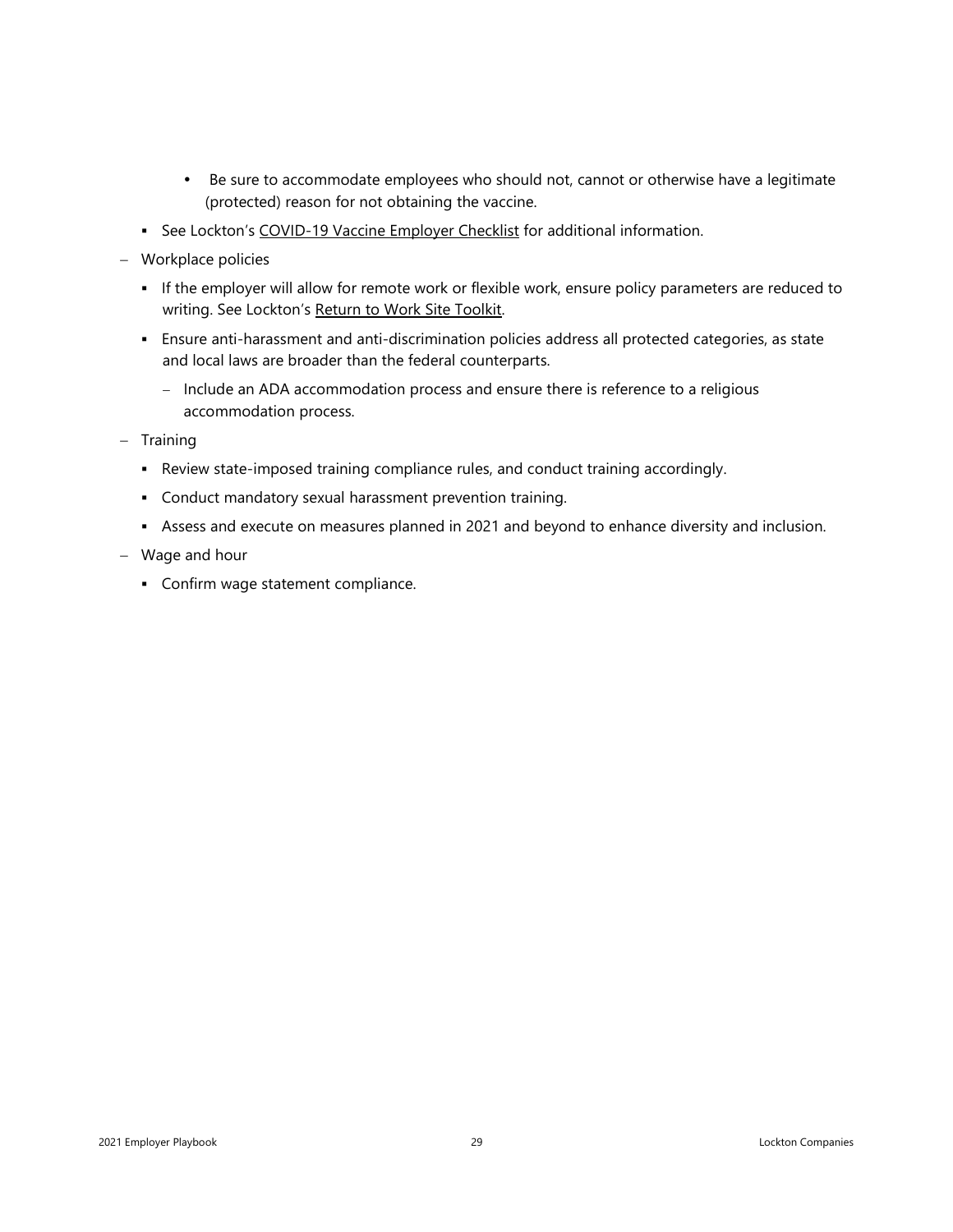- Be sure to accommodate employees who should not, cannot or otherwise have a legitimate (protected) reason for not obtaining the vaccine.
- **EXECT** See Lockton's [COVID-19](http://s3-us-west-2.amazonaws.com/lockton-corporate-website/Compliance-Alerts/COVID-19_Vaccine_Employer%C2%A0Checklist.pdf) Vaccine Employer Checklist for additional information.
- − Workplace policies
	- If the employer will allow for remote work or flexible work, ensure policy parameters are reduced to writing. See Lockton's Return to Work Site [Toolkit.](https://lockton-operations.dcatalog.com/v/Return-to-work-site-toolkit-May-2020?page=1)
	- Ensure anti-harassment and anti-discrimination policies address all protected categories, as state and local laws are broader than the federal counterparts.
		- − Include an ADA accommodation process and ensure there is reference to a religious accommodation process.
- − Training
	- Review state-imposed training compliance rules, and conduct training accordingly.
	- Conduct mandatory sexual harassment prevention training.
	- **•** Assess and execute on measures planned in 2021 and beyond to enhance diversity and inclusion.
- − Wage and hour
	- Confirm wage statement compliance.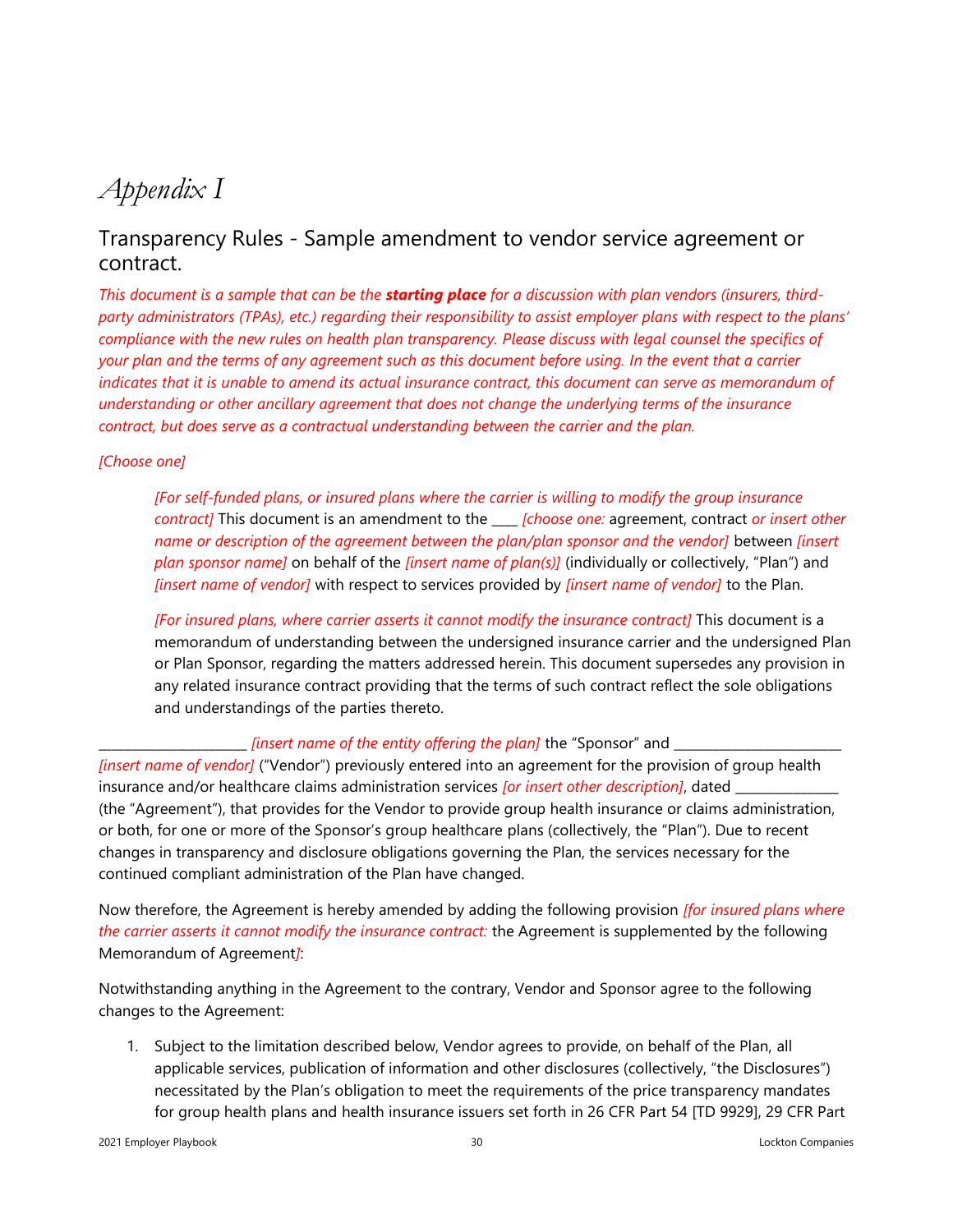### <span id="page-29-0"></span>*Appendix I*

### Transparency Rules - Sample amendment to vendor service agreement or contract.

*This document is a sample that can be the starting place for a discussion with plan vendors (insurers, thirdparty administrators (TPAs), etc.) regarding their responsibility to assist employer plans with respect to the plans' compliance with the new rules on health plan transparency. Please discuss with legal counsel the specifics of your plan and the terms of any agreement such as this document before using. In the event that a carrier indicates that it is unable to amend its actual insurance contract, this document can serve as memorandum of understanding or other ancillary agreement that does not change the underlying terms of the insurance contract, but does serve as a contractual understanding between the carrier and the plan.*

#### *[Choose one]*

*[For self-funded plans, or insured plans where the carrier is willing to modify the group insurance contract]* This document is an amendment to the \_\_\_\_ *[choose one:* agreement, contract *or insert other name or description of the agreement between the plan/plan sponsor and the vendor]* between *[insert plan sponsor name]* on behalf of the *[insert name of plan(s)]* (individually or collectively, "Plan") and *[insert name of vendor]* with respect to services provided by *[insert name of vendor]* to the Plan.

*[For insured plans, where carrier asserts it cannot modify the insurance contract]* This document is a memorandum of understanding between the undersigned insurance carrier and the undersigned Plan or Plan Sponsor, regarding the matters addressed herein. This document supersedes any provision in any related insurance contract providing that the terms of such contract reflect the sole obligations and understandings of the parties thereto.

#### \_\_\_\_\_\_\_\_\_\_\_\_\_\_\_\_\_\_\_\_\_\_\_ *[insert name of the entity offering the plan]* the "Sponsor" and \_\_\_\_\_\_\_\_\_\_\_\_\_\_\_\_\_\_\_\_\_\_\_\_\_\_

*[insert name of vendor]* ("Vendor") previously entered into an agreement for the provision of group health insurance and/or healthcare claims administration services *[or insert other description]*, dated (the "Agreement"), that provides for the Vendor to provide group health insurance or claims administration, or both, for one or more of the Sponsor's group healthcare plans (collectively, the "Plan"). Due to recent changes in transparency and disclosure obligations governing the Plan, the services necessary for the continued compliant administration of the Plan have changed.

Now therefore, the Agreement is hereby amended by adding the following provision *[for insured plans where the carrier asserts it cannot modify the insurance contract:* the Agreement is supplemented by the following Memorandum of Agreement*]*:

Notwithstanding anything in the Agreement to the contrary, Vendor and Sponsor agree to the following changes to the Agreement:

1. Subject to the limitation described below, Vendor agrees to provide, on behalf of the Plan, all applicable services, publication of information and other disclosures (collectively, "the Disclosures") necessitated by the Plan's obligation to meet the requirements of the price transparency mandates for group health plans and health insurance issuers set forth in 26 CFR Part 54 [TD 9929], 29 CFR Part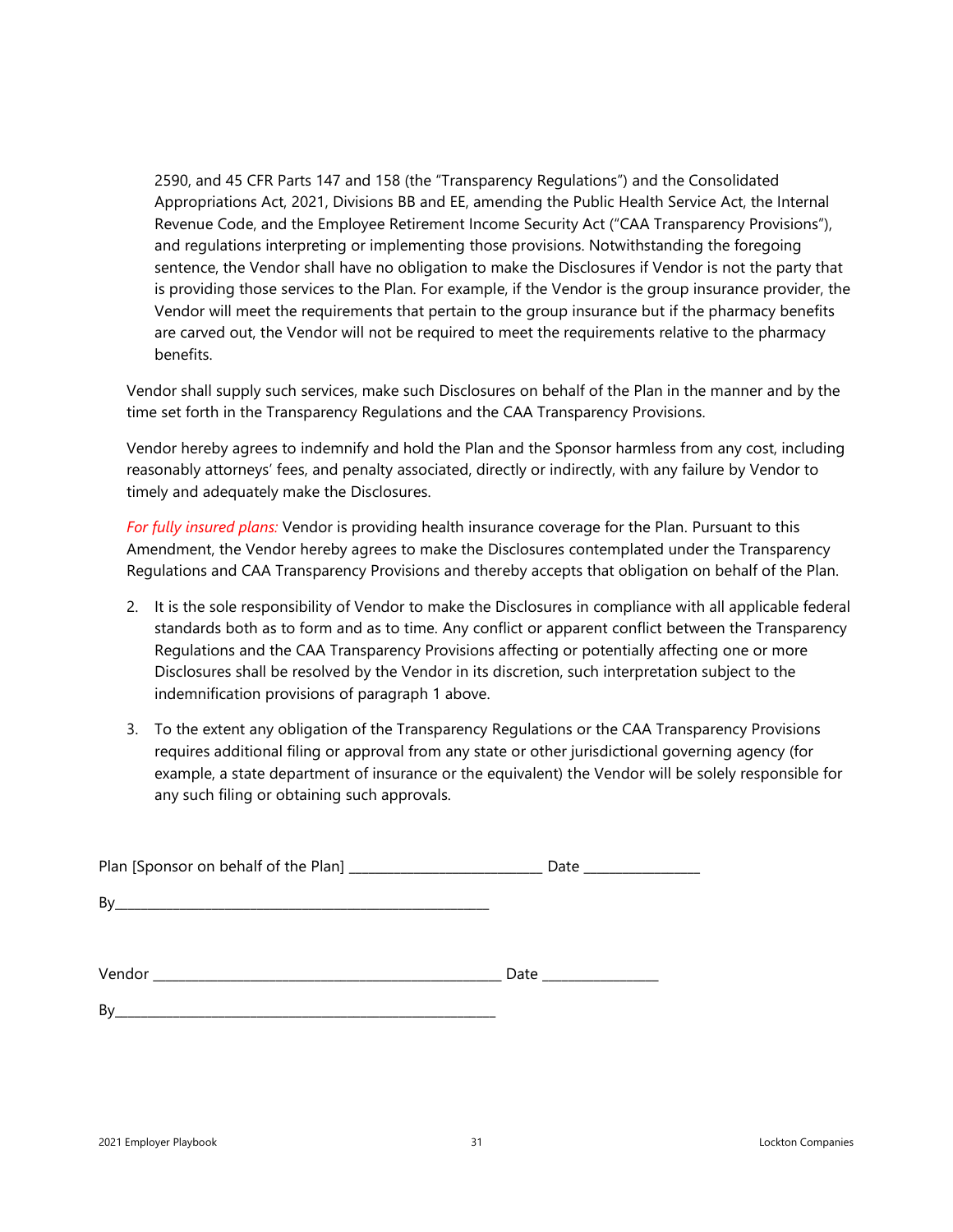2590, and 45 CFR Parts 147 and 158 (the "Transparency Regulations") and the Consolidated Appropriations Act, 2021, Divisions BB and EE, amending the Public Health Service Act, the Internal Revenue Code, and the Employee Retirement Income Security Act ("CAA Transparency Provisions"), and regulations interpreting or implementing those provisions. Notwithstanding the foregoing sentence, the Vendor shall have no obligation to make the Disclosures if Vendor is not the party that is providing those services to the Plan. For example, if the Vendor is the group insurance provider, the Vendor will meet the requirements that pertain to the group insurance but if the pharmacy benefits are carved out, the Vendor will not be required to meet the requirements relative to the pharmacy benefits.

Vendor shall supply such services, make such Disclosures on behalf of the Plan in the manner and by the time set forth in the Transparency Regulations and the CAA Transparency Provisions.

Vendor hereby agrees to indemnify and hold the Plan and the Sponsor harmless from any cost, including reasonably attorneys' fees, and penalty associated, directly or indirectly, with any failure by Vendor to timely and adequately make the Disclosures.

*For fully insured plans:* Vendor is providing health insurance coverage for the Plan. Pursuant to this Amendment, the Vendor hereby agrees to make the Disclosures contemplated under the Transparency Regulations and CAA Transparency Provisions and thereby accepts that obligation on behalf of the Plan.

- 2. It is the sole responsibility of Vendor to make the Disclosures in compliance with all applicable federal standards both as to form and as to time. Any conflict or apparent conflict between the Transparency Regulations and the CAA Transparency Provisions affecting or potentially affecting one or more Disclosures shall be resolved by the Vendor in its discretion, such interpretation subject to the indemnification provisions of paragraph 1 above.
- 3. To the extent any obligation of the Transparency Regulations or the CAA Transparency Provisions requires additional filing or approval from any state or other jurisdictional governing agency (for example, a state department of insurance or the equivalent) the Vendor will be solely responsible for any such filing or obtaining such approvals.

|    | Date ___________________ |
|----|--------------------------|
|    |                          |
|    |                          |
|    | Date $\_\_$              |
| Bv |                          |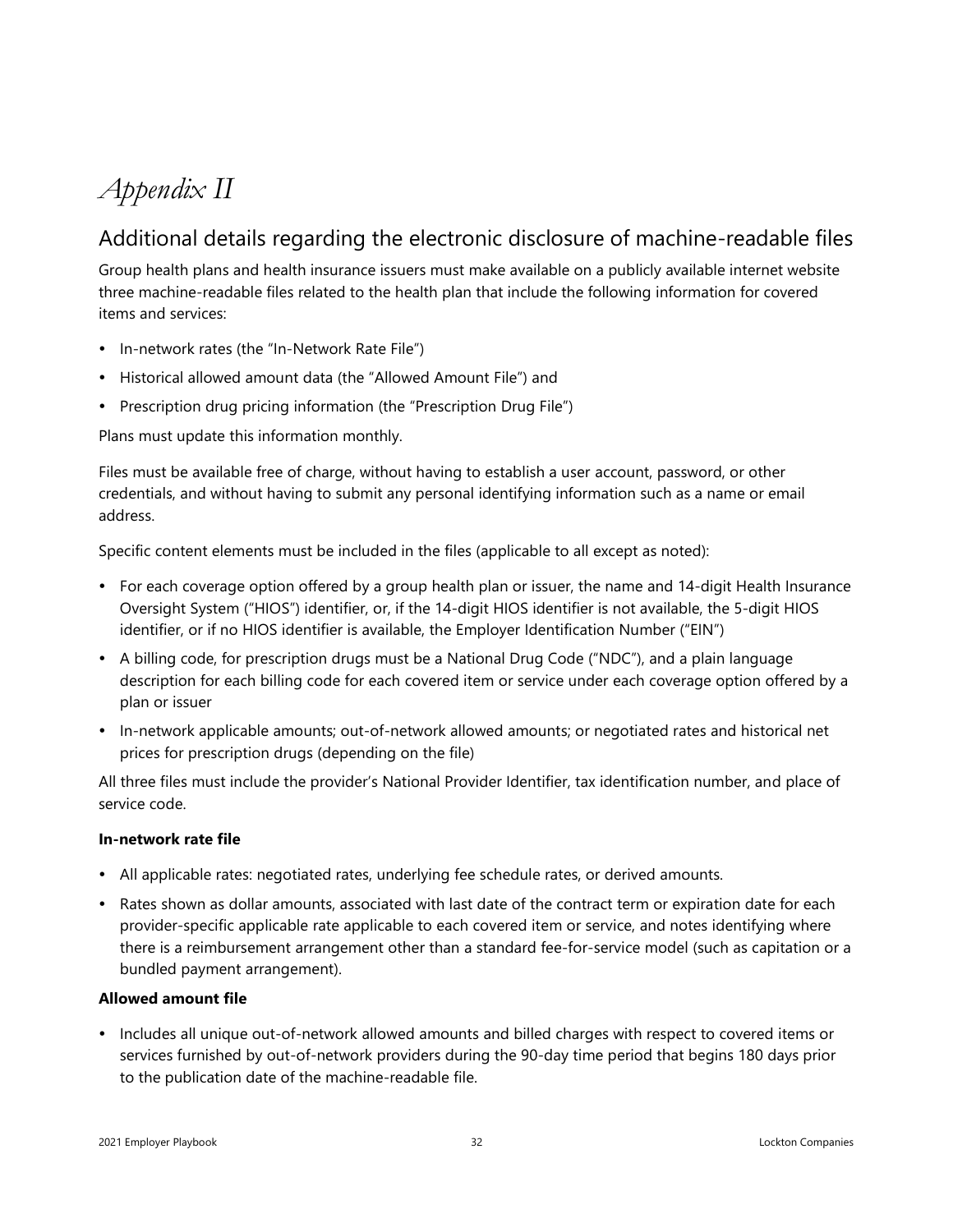### <span id="page-31-0"></span>*Appendix II*

### Additional details regarding the electronic disclosure of machine-readable files

Group health plans and health insurance issuers must make available on a publicly available internet website three machine-readable files related to the health plan that include the following information for covered items and services:

- In-network rates (the "In-Network Rate File")
- Historical allowed amount data (the "Allowed Amount File") and
- Prescription drug pricing information (the "Prescription Drug File")

Plans must update this information monthly.

Files must be available free of charge, without having to establish a user account, password, or other credentials, and without having to submit any personal identifying information such as a name or email address.

Specific content elements must be included in the files (applicable to all except as noted):

- For each coverage option offered by a group health plan or issuer, the name and 14-digit Health Insurance Oversight System ("HIOS") identifier, or, if the 14-digit HIOS identifier is not available, the 5-digit HIOS identifier, or if no HIOS identifier is available, the Employer Identification Number ("EIN")
- A billing code, for prescription drugs must be a National Drug Code ("NDC"), and a plain language description for each billing code for each covered item or service under each coverage option offered by a plan or issuer
- In-network applicable amounts; out-of-network allowed amounts; or negotiated rates and historical net prices for prescription drugs (depending on the file)

All three files must include the provider's National Provider Identifier, tax identification number, and place of service code.

#### **In-network rate file**

- All applicable rates: negotiated rates, underlying fee schedule rates, or derived amounts.
- Rates shown as dollar amounts, associated with last date of the contract term or expiration date for each provider-specific applicable rate applicable to each covered item or service, and notes identifying where there is a reimbursement arrangement other than a standard fee-for-service model (such as capitation or a bundled payment arrangement).

#### **Allowed amount file**

• Includes all unique out-of-network allowed amounts and billed charges with respect to covered items or services furnished by out-of-network providers during the 90-day time period that begins 180 days prior to the publication date of the machine-readable file.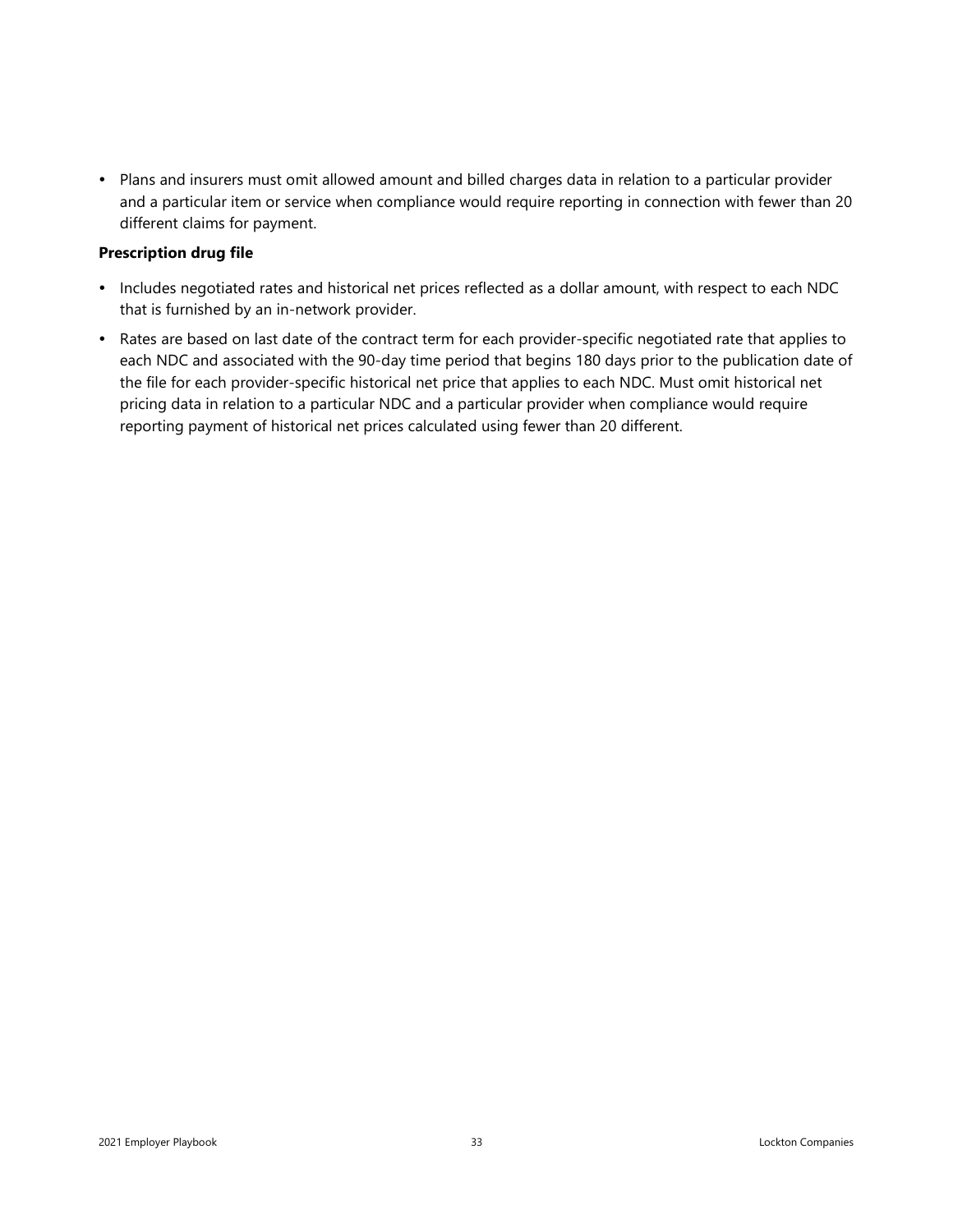Plans and insurers must omit allowed amount and billed charges data in relation to a particular provider and a particular item or service when compliance would require reporting in connection with fewer than 20 different claims for payment.

#### **Prescription drug file**

- Includes negotiated rates and historical net prices reflected as a dollar amount, with respect to each NDC that is furnished by an in-network provider.
- Rates are based on last date of the contract term for each provider-specific negotiated rate that applies to each NDC and associated with the 90-day time period that begins 180 days prior to the publication date of the file for each provider-specific historical net price that applies to each NDC. Must omit historical net pricing data in relation to a particular NDC and a particular provider when compliance would require reporting payment of historical net prices calculated using fewer than 20 different.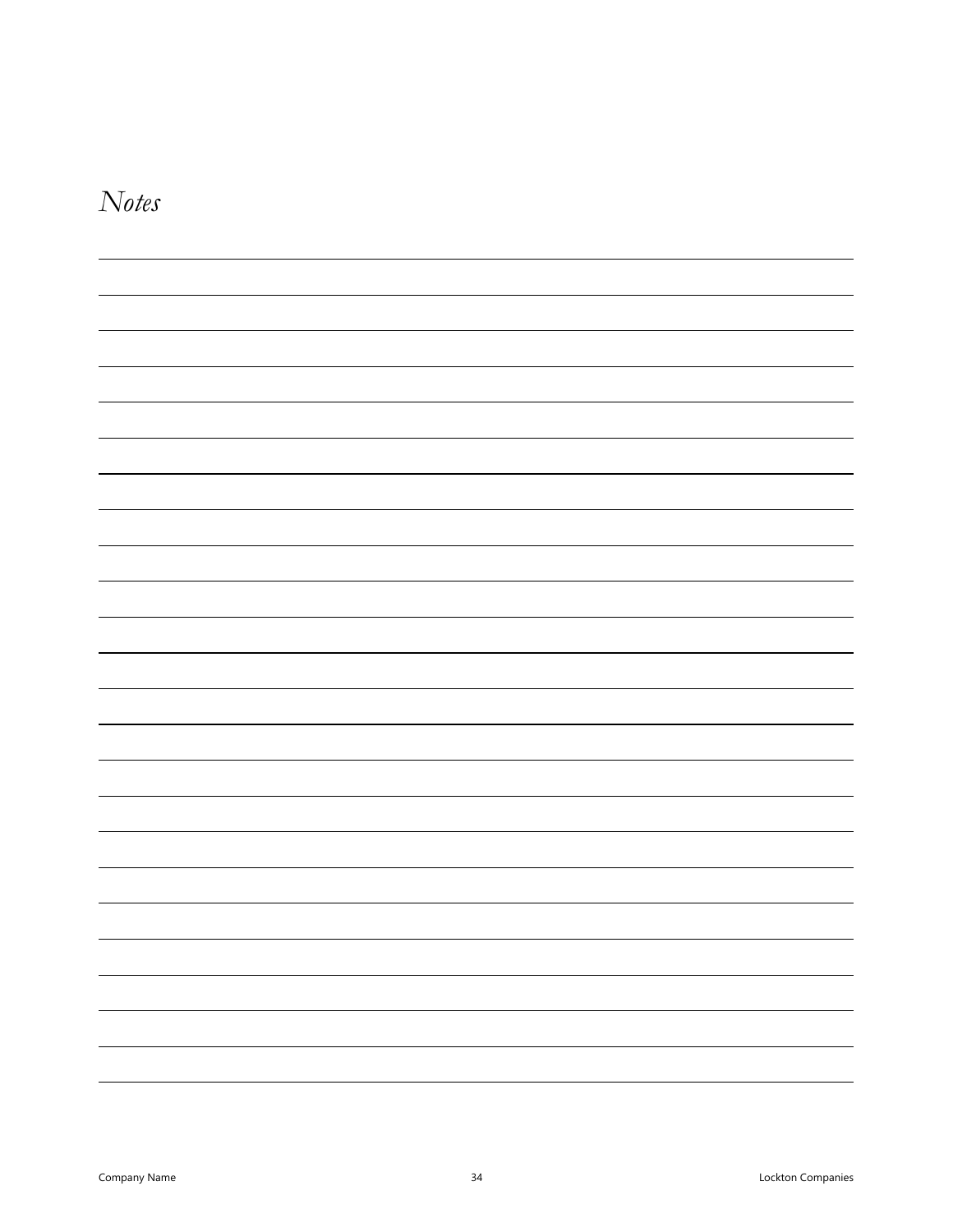<span id="page-33-0"></span>

| <i>Notes</i> |  |
|--------------|--|
|--------------|--|